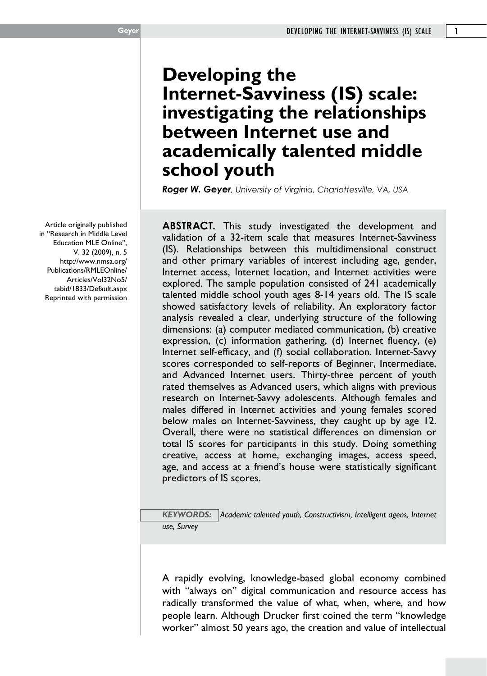#### Article originally published in "Research in Middle Level Education MLE Online", V. 32 (2009), n. 5 http://www.nmsa.org/ Publications/RMLEOnline/ Articles/Vol32No5/ tabid/1833/Default.aspx Reprinted with permission

# **Developing the Internet-Savviness (IS) scale: investigating the relationships between Internet use and academically talented middle school youth**

*Roger W. Geyer, University of Virginia, Charlottesville, VA, USA* 

**ABSTRACT.** This study investigated the development and validation of a 32-item scale that measures Internet-Savviness (IS). Relationships between this multidimensional construct and other primary variables of interest including age, gender, Internet access, Internet location, and Internet activities were explored. The sample population consisted of 241 academically talented middle school youth ages 8-14 years old. The IS scale showed satisfactory levels of reliability. An exploratory factor analysis revealed a clear, underlying structure of the following dimensions: (a) computer mediated communication, (b) creative expression, (c) information gathering, (d) Internet fluency, (e) Internet self-efficacy, and (f) social collaboration. Internet-Savvy scores corresponded to self-reports of Beginner, Intermediate, and Advanced Internet users. Thirty-three percent of youth rated themselves as Advanced users, which aligns with previous research on Internet-Savvy adolescents. Although females and males differed in Internet activities and young females scored below males on Internet-Savviness, they caught up by age 12. Overall, there were no statistical differences on dimension or total IS scores for participants in this study. Doing something creative, access at home, exchanging images, access speed, age, and access at a friend's house were statistically significant predictors of IS scores.

*KEYWORDS: Academic talented youth, Constructivism, Intelligent agens, Internet use, Survey*

A rapidly evolving, knowledge-based global economy combined with "always on" digital communication and resource access has radically transformed the value of what, when, where, and how people learn. Although Drucker first coined the term "knowledge worker" almost 50 years ago, the creation and value of intellectual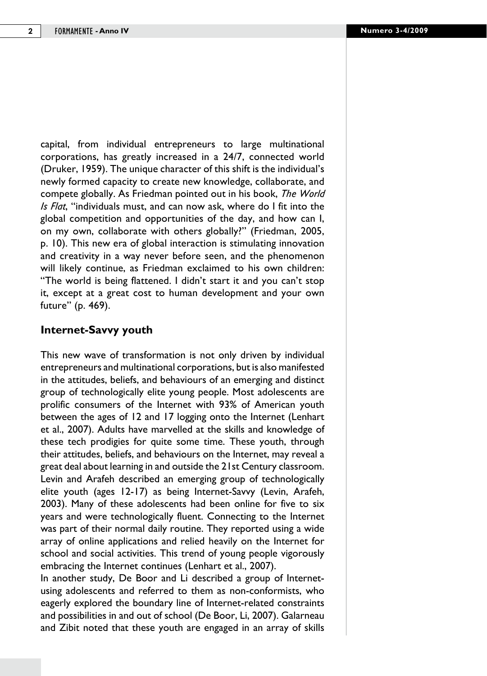capital, from individual entrepreneurs to large multinational corporations, has greatly increased in a 24/7, connected world (Druker, 1959). The unique character of this shift is the individual's newly formed capacity to create new knowledge, collaborate, and compete globally. As Friedman pointed out in his book, *The World Is Flat*, "individuals must, and can now ask, where do I fit into the global competition and opportunities of the day, and how can I, on my own, collaborate with others globally?" (Friedman, 2005, p. 10). This new era of global interaction is stimulating innovation and creativity in a way never before seen, and the phenomenon will likely continue, as Friedman exclaimed to his own children: "The world is being flattened. I didn't start it and you can't stop it, except at a great cost to human development and your own future" (p. 469).

# **Internet-Savvy youth**

This new wave of transformation is not only driven by individual entrepreneurs and multinational corporations, but is also manifested in the attitudes, beliefs, and behaviours of an emerging and distinct group of technologically elite young people. Most adolescents are prolific consumers of the Internet with 93% of American youth between the ages of 12 and 17 logging onto the Internet (Lenhart et al., 2007). Adults have marvelled at the skills and knowledge of these tech prodigies for quite some time. These youth, through their attitudes, beliefs, and behaviours on the Internet, may reveal a great deal about learning in and outside the 21st Century classroom. Levin and Arafeh described an emerging group of technologically elite youth (ages 12-17) as being Internet-Savvy (Levin, Arafeh, 2003). Many of these adolescents had been online for five to six years and were technologically fluent. Connecting to the Internet was part of their normal daily routine. They reported using a wide array of online applications and relied heavily on the Internet for school and social activities. This trend of young people vigorously embracing the Internet continues (Lenhart et al., 2007).

In another study, De Boor and Li described a group of Internetusing adolescents and referred to them as non-conformists, who eagerly explored the boundary line of Internet-related constraints and possibilities in and out of school (De Boor, Li, 2007). Galarneau and Zibit noted that these youth are engaged in an array of skills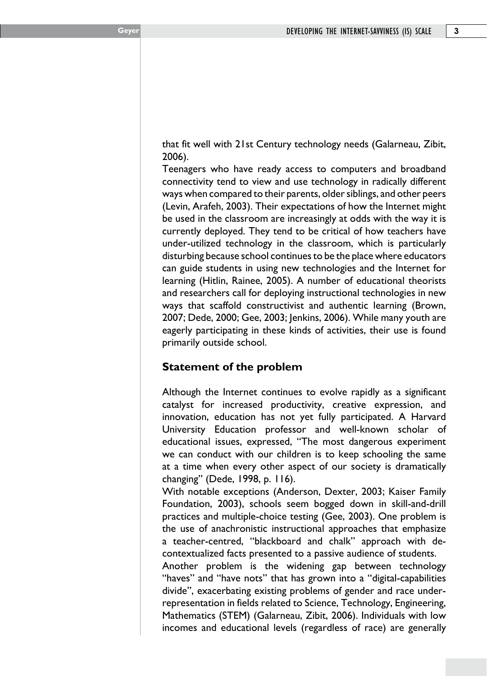that fit well with 21st Century technology needs (Galarneau, Zibit, 2006).

Teenagers who have ready access to computers and broadband connectivity tend to view and use technology in radically different ways when compared to their parents, older siblings, and other peers (Levin, Arafeh, 2003). Their expectations of how the Internet might be used in the classroom are increasingly at odds with the way it is currently deployed. They tend to be critical of how teachers have under-utilized technology in the classroom, which is particularly disturbing because school continues to be the place where educators can guide students in using new technologies and the Internet for learning (Hitlin, Rainee, 2005). A number of educational theorists and researchers call for deploying instructional technologies in new ways that scaffold constructivist and authentic learning (Brown, 2007; Dede, 2000; Gee, 2003; Jenkins, 2006). While many youth are eagerly participating in these kinds of activities, their use is found primarily outside school.

# **Statement of the problem**

Although the Internet continues to evolve rapidly as a significant catalyst for increased productivity, creative expression, and innovation, education has not yet fully participated. A Harvard University Education professor and well-known scholar of educational issues, expressed, "The most dangerous experiment we can conduct with our children is to keep schooling the same at a time when every other aspect of our society is dramatically changing" (Dede, 1998, p. 116).

With notable exceptions (Anderson, Dexter, 2003; Kaiser Family Foundation, 2003), schools seem bogged down in skill-and-drill practices and multiple-choice testing (Gee, 2003). One problem is the use of anachronistic instructional approaches that emphasize a teacher-centred, "blackboard and chalk" approach with decontextualized facts presented to a passive audience of students.

Another problem is the widening gap between technology "haves" and "have nots" that has grown into a "digital-capabilities divide", exacerbating existing problems of gender and race underrepresentation in fields related to Science, Technology, Engineering, Mathematics (STEM) (Galarneau, Zibit, 2006). Individuals with low incomes and educational levels (regardless of race) are generally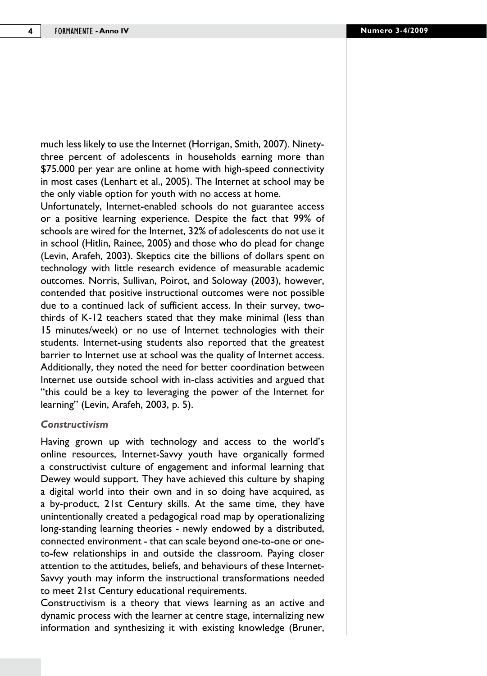much less likely to use the Internet (Horrigan, Smith, 2007). Ninetythree percent of adolescents in households earning more than \$75.000 per year are online at home with high-speed connectivity in most cases (Lenhart et al., 2005). The Internet at school may be the only viable option for youth with no access at home.

Unfortunately, Internet-enabled schools do not guarantee access or a positive learning experience. Despite the fact that 99% of schools are wired for the Internet, 32% of adolescents do not use it in school (Hitlin, Rainee, 2005) and those who do plead for change (Levin, Arafeh, 2003). Skeptics cite the billions of dollars spent on technology with little research evidence of measurable academic outcomes. Norris, Sullivan, Poirot, and Soloway (2003), however, contended that positive instructional outcomes were not possible due to a continued lack of sufficient access. In their survey, twothirds of K-12 teachers stated that they make minimal (less than 15 minutes/week) or no use of Internet technologies with their students. Internet-using students also reported that the greatest barrier to Internet use at school was the quality of Internet access. Additionally, they noted the need for better coordination between Internet use outside school with in-class activities and argued that "this could be a key to leveraging the power of the Internet for learning" (Levin, Arafeh, 2003, p. 5).

#### *Constructivism*

Having grown up with technology and access to the world's online resources, Internet-Savvy youth have organically formed a constructivist culture of engagement and informal learning that Dewey would support. They have achieved this culture by shaping a digital world into their own and in so doing have acquired, as a by-product, 21st Century skills. At the same time, they have unintentionally created a pedagogical road map by operationalizing long-standing learning theories - newly endowed by a distributed, connected environment - that can scale beyond one-to-one or oneto-few relationships in and outside the classroom. Paying closer attention to the attitudes, beliefs, and behaviours of these Internet-Savvy youth may inform the instructional transformations needed to meet 21st Century educational requirements.

Constructivism is a theory that views learning as an active and dynamic process with the learner at centre stage, internalizing new information and synthesizing it with existing knowledge (Bruner,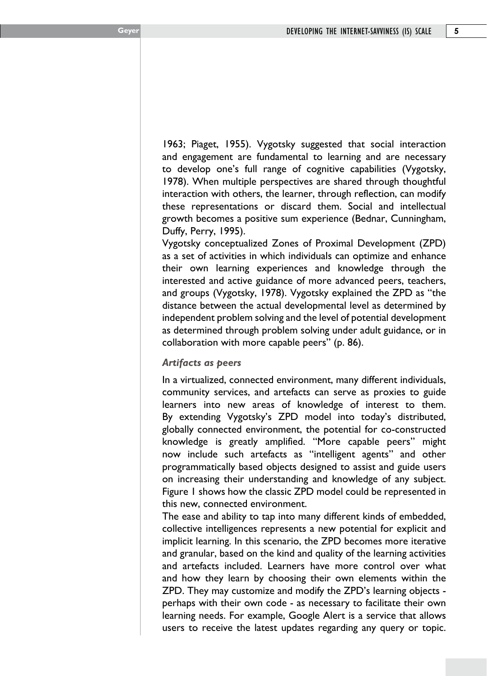1963; Piaget, 1955). Vygotsky suggested that social interaction and engagement are fundamental to learning and are necessary to develop one's full range of cognitive capabilities (Vygotsky, 1978). When multiple perspectives are shared through thoughtful interaction with others, the learner, through reflection, can modify these representations or discard them. Social and intellectual growth becomes a positive sum experience (Bednar, Cunningham, Duffy, Perry, 1995).

Vygotsky conceptualized Zones of Proximal Development (ZPD) as a set of activities in which individuals can optimize and enhance their own learning experiences and knowledge through the interested and active guidance of more advanced peers, teachers, and groups (Vygotsky, 1978). Vygotsky explained the ZPD as "the distance between the actual developmental level as determined by independent problem solving and the level of potential development as determined through problem solving under adult guidance, or in collaboration with more capable peers" (p. 86).

#### *Artifacts as peers*

In a virtualized, connected environment, many different individuals, community services, and artefacts can serve as proxies to guide learners into new areas of knowledge of interest to them. By extending Vygotsky's ZPD model into today's distributed, globally connected environment, the potential for co-constructed knowledge is greatly amplified. "More capable peers" might now include such artefacts as "intelligent agents" and other programmatically based objects designed to assist and guide users on increasing their understanding and knowledge of any subject. Figure 1 shows how the classic ZPD model could be represented in this new, connected environment.

The ease and ability to tap into many different kinds of embedded, collective intelligences represents a new potential for explicit and implicit learning. In this scenario, the ZPD becomes more iterative and granular, based on the kind and quality of the learning activities and artefacts included. Learners have more control over what and how they learn by choosing their own elements within the ZPD. They may customize and modify the ZPD's learning objects perhaps with their own code - as necessary to facilitate their own learning needs. For example, Google Alert is a service that allows users to receive the latest updates regarding any query or topic.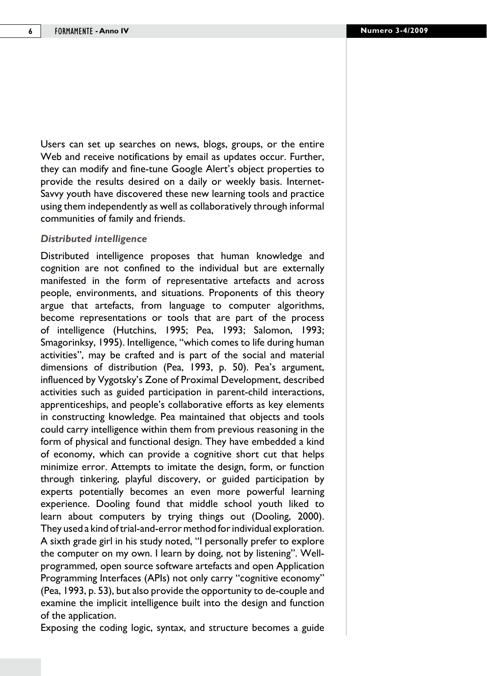Users can set up searches on news, blogs, groups, or the entire Web and receive notifications by email as updates occur. Further, they can modify and fine-tune Google Alert's object properties to provide the results desired on a daily or weekly basis. Internet-Savvy youth have discovered these new learning tools and practice using them independently as well as collaboratively through informal communities of family and friends.

#### *Distributed intelligence*

Distributed intelligence proposes that human knowledge and cognition are not confined to the individual but are externally manifested in the form of representative artefacts and across people, environments, and situations. Proponents of this theory argue that artefacts, from language to computer algorithms, become representations or tools that are part of the process of intelligence (Hutchins, 1995; Pea, 1993; Salomon, 1993; Smagorinksy, 1995). Intelligence, "which comes to life during human activities", may be crafted and is part of the social and material dimensions of distribution (Pea, 1993, p. 50). Pea's argument, influenced by Vygotsky's Zone of Proximal Development, described activities such as guided participation in parent-child interactions, apprenticeships, and people's collaborative efforts as key elements in constructing knowledge. Pea maintained that objects and tools could carry intelligence within them from previous reasoning in the form of physical and functional design. They have embedded a kind of economy, which can provide a cognitive short cut that helps minimize error. Attempts to imitate the design, form, or function through tinkering, playful discovery, or guided participation by experts potentially becomes an even more powerful learning experience. Dooling found that middle school youth liked to learn about computers by trying things out (Dooling, 2000). They used a kind of trial-and-error method for individual exploration. A sixth grade girl in his study noted, "I personally prefer to explore the computer on my own. I learn by doing, not by listening". Wellprogrammed, open source software artefacts and open Application Programming Interfaces (APIs) not only carry "cognitive economy" (Pea, 1993, p. 53), but also provide the opportunity to de-couple and examine the implicit intelligence built into the design and function of the application.

Exposing the coding logic, syntax, and structure becomes a guide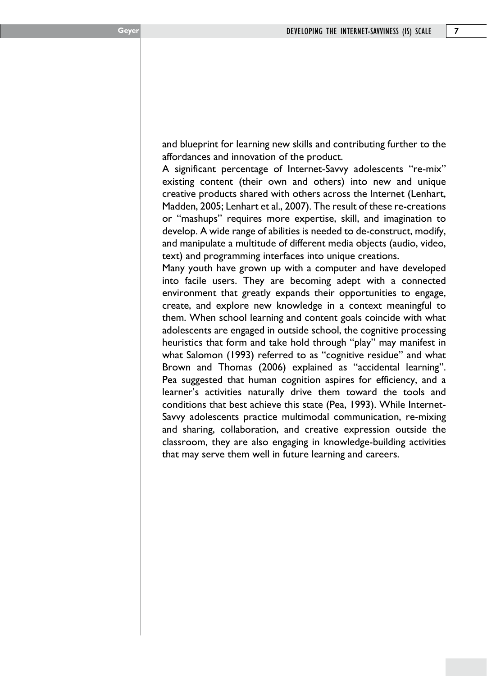and blueprint for learning new skills and contributing further to the affordances and innovation of the product.

A significant percentage of Internet-Savvy adolescents "re-mix" existing content (their own and others) into new and unique creative products shared with others across the Internet (Lenhart, Madden, 2005; Lenhart et al., 2007). The result of these re-creations or "mashups" requires more expertise, skill, and imagination to develop. A wide range of abilities is needed to de-construct, modify, and manipulate a multitude of different media objects (audio, video, text) and programming interfaces into unique creations.

Many youth have grown up with a computer and have developed into facile users. They are becoming adept with a connected environment that greatly expands their opportunities to engage, create, and explore new knowledge in a context meaningful to them. When school learning and content goals coincide with what adolescents are engaged in outside school, the cognitive processing heuristics that form and take hold through "play" may manifest in what Salomon (1993) referred to as "cognitive residue" and what Brown and Thomas (2006) explained as "accidental learning". Pea suggested that human cognition aspires for efficiency, and a learner's activities naturally drive them toward the tools and conditions that best achieve this state (Pea, 1993). While Internet-Savvy adolescents practice multimodal communication, re-mixing and sharing, collaboration, and creative expression outside the classroom, they are also engaging in knowledge-building activities that may serve them well in future learning and careers.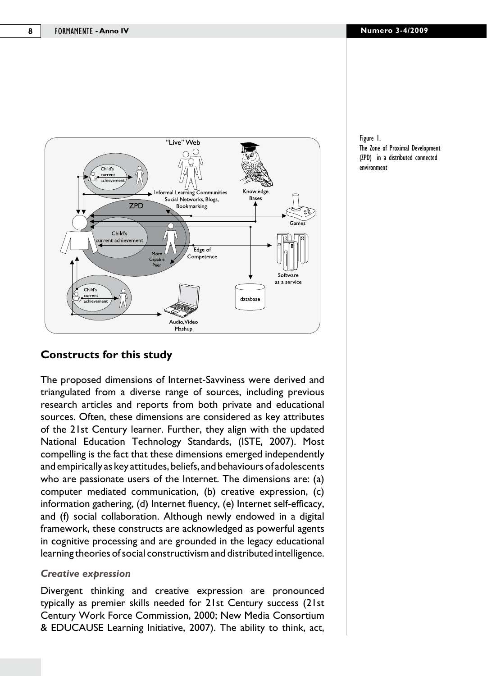

Figure 1. The Zone of Proximal Development (ZPD) in a distributed connected environment

# **Constructs for this study**

The proposed dimensions of Internet-Savviness were derived and triangulated from a diverse range of sources, including previous research articles and reports from both private and educational sources. Often, these dimensions are considered as key attributes of the 21st Century learner. Further, they align with the updated National Education Technology Standards, (ISTE, 2007). Most compelling is the fact that these dimensions emerged independently and empirically as key attitudes, beliefs, and behaviours of adolescents who are passionate users of the Internet. The dimensions are: (a) computer mediated communication, (b) creative expression, (c) information gathering, (d) Internet fluency, (e) Internet self-efficacy, and (f) social collaboration. Although newly endowed in a digital framework, these constructs are acknowledged as powerful agents in cognitive processing and are grounded in the legacy educational learning theories of social constructivism and distributed intelligence.

#### *Creative expression*

Divergent thinking and creative expression are pronounced typically as premier skills needed for 21st Century success (21st Century Work Force Commission, 2000; New Media Consortium & EDUCAUSE Learning Initiative, 2007). The ability to think, act,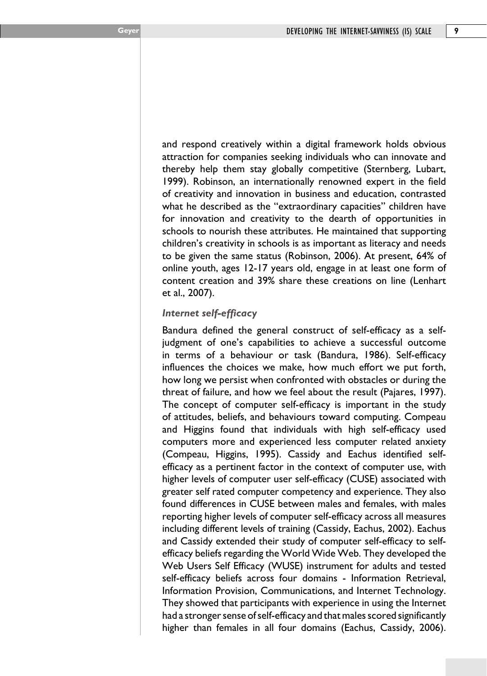and respond creatively within a digital framework holds obvious attraction for companies seeking individuals who can innovate and thereby help them stay globally competitive (Sternberg, Lubart, 1999). Robinson, an internationally renowned expert in the field of creativity and innovation in business and education, contrasted what he described as the "extraordinary capacities" children have for innovation and creativity to the dearth of opportunities in schools to nourish these attributes. He maintained that supporting children's creativity in schools is as important as literacy and needs to be given the same status (Robinson, 2006). At present, 64% of online youth, ages 12-17 years old, engage in at least one form of content creation and 39% share these creations on line (Lenhart et al., 2007).

## *Internet self-efficacy*

Bandura defined the general construct of self-efficacy as a selfjudgment of one's capabilities to achieve a successful outcome in terms of a behaviour or task (Bandura, 1986). Self-efficacy influences the choices we make, how much effort we put forth, how long we persist when confronted with obstacles or during the threat of failure, and how we feel about the result (Pajares, 1997). The concept of computer self-efficacy is important in the study of attitudes, beliefs, and behaviours toward computing. Compeau and Higgins found that individuals with high self-efficacy used computers more and experienced less computer related anxiety (Compeau, Higgins, 1995). Cassidy and Eachus identified selfefficacy as a pertinent factor in the context of computer use, with higher levels of computer user self-efficacy (CUSE) associated with greater self rated computer competency and experience. They also found differences in CUSE between males and females, with males reporting higher levels of computer self-efficacy across all measures including different levels of training (Cassidy, Eachus, 2002). Eachus and Cassidy extended their study of computer self-efficacy to selfefficacy beliefs regarding the World Wide Web. They developed the Web Users Self Efficacy (WUSE) instrument for adults and tested self-efficacy beliefs across four domains - Information Retrieval, Information Provision, Communications, and Internet Technology. They showed that participants with experience in using the Internet had a stronger sense of self-efficacy and that males scored significantly higher than females in all four domains (Eachus, Cassidy, 2006).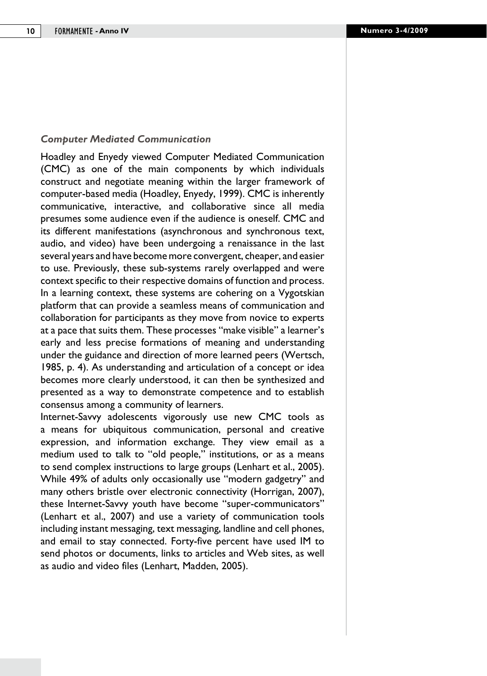#### *Computer Mediated Communication*

Hoadley and Enyedy viewed Computer Mediated Communication (CMC) as one of the main components by which individuals construct and negotiate meaning within the larger framework of computer-based media (Hoadley, Enyedy, 1999). CMC is inherently communicative, interactive, and collaborative since all media presumes some audience even if the audience is oneself. CMC and its different manifestations (asynchronous and synchronous text, audio, and video) have been undergoing a renaissance in the last several years and have become more convergent, cheaper, and easier to use. Previously, these sub-systems rarely overlapped and were context specific to their respective domains of function and process. In a learning context, these systems are cohering on a Vygotskian platform that can provide a seamless means of communication and collaboration for participants as they move from novice to experts at a pace that suits them. These processes "make visible" a learner's early and less precise formations of meaning and understanding under the guidance and direction of more learned peers (Wertsch, 1985, p. 4). As understanding and articulation of a concept or idea becomes more clearly understood, it can then be synthesized and presented as a way to demonstrate competence and to establish consensus among a community of learners.

Internet-Savvy adolescents vigorously use new CMC tools as a means for ubiquitous communication, personal and creative expression, and information exchange. They view email as a medium used to talk to "old people," institutions, or as a means to send complex instructions to large groups (Lenhart et al., 2005). While 49% of adults only occasionally use "modern gadgetry" and many others bristle over electronic connectivity (Horrigan, 2007), these Internet-Savvy youth have become "super-communicators" (Lenhart et al., 2007) and use a variety of communication tools including instant messaging, text messaging, landline and cell phones, and email to stay connected. Forty-five percent have used IM to send photos or documents, links to articles and Web sites, as well as audio and video files (Lenhart, Madden, 2005).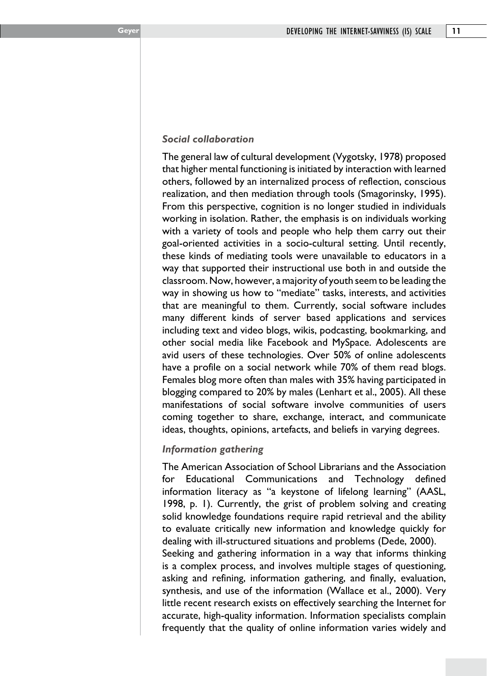### *Social collaboration*

The general law of cultural development (Vygotsky, 1978) proposed that higher mental functioning is initiated by interaction with learned others, followed by an internalized process of reflection, conscious realization, and then mediation through tools (Smagorinsky, 1995). From this perspective, cognition is no longer studied in individuals working in isolation. Rather, the emphasis is on individuals working with a variety of tools and people who help them carry out their goal-oriented activities in a socio-cultural setting. Until recently, these kinds of mediating tools were unavailable to educators in a way that supported their instructional use both in and outside the classroom. Now, however, a majority of youth seem to be leading the way in showing us how to "mediate" tasks, interests, and activities that are meaningful to them. Currently, social software includes many different kinds of server based applications and services including text and video blogs, wikis, podcasting, bookmarking, and other social media like Facebook and MySpace. Adolescents are avid users of these technologies. Over 50% of online adolescents have a profile on a social network while 70% of them read blogs. Females blog more often than males with 35% having participated in blogging compared to 20% by males (Lenhart et al., 2005). All these manifestations of social software involve communities of users coming together to share, exchange, interact, and communicate ideas, thoughts, opinions, artefacts, and beliefs in varying degrees.

# *Information gathering*

The American Association of School Librarians and the Association for Educational Communications and Technology defined information literacy as "a keystone of lifelong learning" (AASL, 1998, p. 1). Currently, the grist of problem solving and creating solid knowledge foundations require rapid retrieval and the ability to evaluate critically new information and knowledge quickly for dealing with ill-structured situations and problems (Dede, 2000). Seeking and gathering information in a way that informs thinking is a complex process, and involves multiple stages of questioning, asking and refining, information gathering, and finally, evaluation, synthesis, and use of the information (Wallace et al., 2000). Very little recent research exists on effectively searching the Internet for accurate, high-quality information. Information specialists complain frequently that the quality of online information varies widely and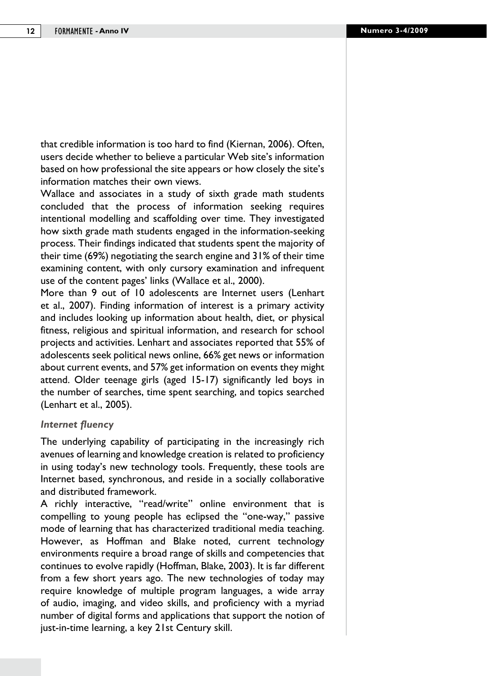that credible information is too hard to find (Kiernan, 2006). Often, users decide whether to believe a particular Web site's information based on how professional the site appears or how closely the site's information matches their own views.

Wallace and associates in a study of sixth grade math students concluded that the process of information seeking requires intentional modelling and scaffolding over time. They investigated how sixth grade math students engaged in the information-seeking process. Their findings indicated that students spent the majority of their time (69%) negotiating the search engine and 31% of their time examining content, with only cursory examination and infrequent use of the content pages' links (Wallace et al., 2000).

More than 9 out of 10 adolescents are Internet users (Lenhart et al., 2007). Finding information of interest is a primary activity and includes looking up information about health, diet, or physical fitness, religious and spiritual information, and research for school projects and activities. Lenhart and associates reported that 55% of adolescents seek political news online, 66% get news or information about current events, and 57% get information on events they might attend. Older teenage girls (aged 15-17) significantly led boys in the number of searches, time spent searching, and topics searched (Lenhart et al., 2005).

#### *Internet fluency*

The underlying capability of participating in the increasingly rich avenues of learning and knowledge creation is related to proficiency in using today's new technology tools. Frequently, these tools are Internet based, synchronous, and reside in a socially collaborative and distributed framework.

A richly interactive, "read/write" online environment that is compelling to young people has eclipsed the "one-way," passive mode of learning that has characterized traditional media teaching. However, as Hoffman and Blake noted, current technology environments require a broad range of skills and competencies that continues to evolve rapidly (Hoffman, Blake, 2003). It is far different from a few short years ago. The new technologies of today may require knowledge of multiple program languages, a wide array of audio, imaging, and video skills, and proficiency with a myriad number of digital forms and applications that support the notion of just-in-time learning, a key 21st Century skill.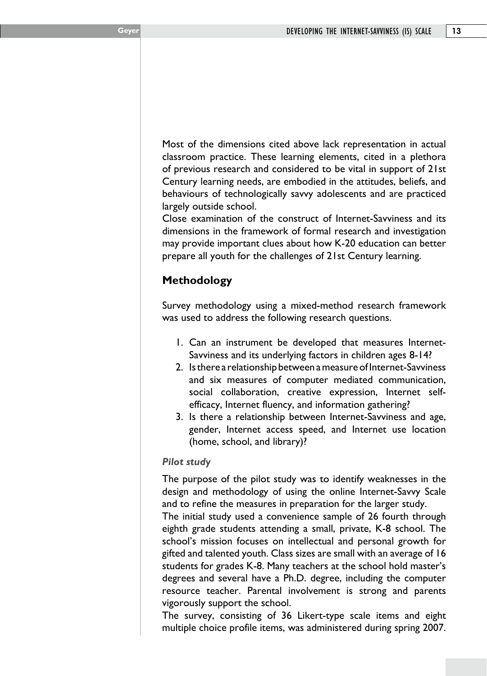Most of the dimensions cited above lack representation in actual classroom practice. These learning elements, cited in a plethora of previous research and considered to be vital in support of 21st Century learning needs, are embodied in the attitudes, beliefs, and behaviours of technologically savvy adolescents and are practiced largely outside school.

Close examination of the construct of Internet-Savviness and its dimensions in the framework of formal research and investigation may provide important clues about how K-20 education can better prepare all youth for the challenges of 21st Century learning.

# **Methodology**

Survey methodology using a mixed-method research framework was used to address the following research questions.

- 1. Can an instrument be developed that measures Internet-Savviness and its underlying factors in children ages 8-14?
- 2. Is there a relationship between a measure of Internet-Savviness and six measures of computer mediated communication, social collaboration, creative expression, Internet selfefficacy, Internet fluency, and information gathering?
- 3. Is there a relationship between Internet-Savviness and age, gender, Internet access speed, and Internet use location (home, school, and library)?

# *Pilot study*

The purpose of the pilot study was to identify weaknesses in the design and methodology of using the online Internet-Savvy Scale and to refine the measures in preparation for the larger study.

The initial study used a convenience sample of 26 fourth through eighth grade students attending a small, private, K-8 school. The school's mission focuses on intellectual and personal growth for gifted and talented youth. Class sizes are small with an average of 16 students for grades K-8. Many teachers at the school hold master's degrees and several have a Ph.D. degree, including the computer resource teacher. Parental involvement is strong and parents vigorously support the school.

The survey, consisting of 36 Likert-type scale items and eight multiple choice profile items, was administered during spring 2007.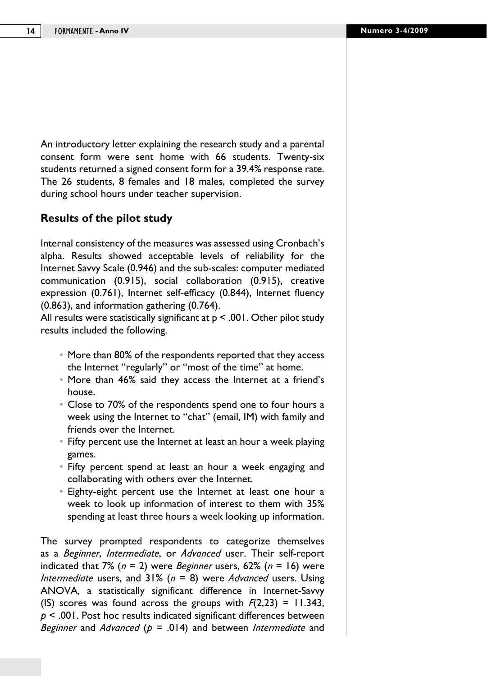An introductory letter explaining the research study and a parental consent form were sent home with 66 students. Twenty-six students returned a signed consent form for a 39.4% response rate. The 26 students, 8 females and 18 males, completed the survey during school hours under teacher supervision.

# **Results of the pilot study**

Internal consistency of the measures was assessed using Cronbach's alpha. Results showed acceptable levels of reliability for the Internet Savvy Scale (0.946) and the sub-scales: computer mediated communication (0.915), social collaboration (0.915), creative expression (0.761), Internet self-efficacy (0.844), Internet fluency (0.863), and information gathering (0.764).

All results were statistically significant at  $p \le 0.001$ . Other pilot study results included the following.

- More than 80% of the respondents reported that they access the Internet "regularly" or "most of the time" at home.
- More than 46% said they access the Internet at a friend's house.
- Close to 70% of the respondents spend one to four hours a week using the Internet to "chat" (email, IM) with family and friends over the Internet.
- Fifty percent use the Internet at least an hour a week playing games.
- Fifty percent spend at least an hour a week engaging and collaborating with others over the Internet.
- Eighty-eight percent use the Internet at least one hour a week to look up information of interest to them with 35% spending at least three hours a week looking up information.

The survey prompted respondents to categorize themselves as a *Beginner*, *Intermediate*, or *Advanced* user. Their self-report indicated that 7% (*n* = 2) were *Beginner* users, 62% (*n* = 16) were *Intermediate* users, and 31% (*n* = 8) were *Advanced* users. Using ANOVA, a statistically significant difference in Internet-Savvy (IS) scores was found across the groups with  $F(2,23) = 11.343$ , *p* < .001. Post hoc results indicated significant differences between *Beginner* and *Advanced* (*p* = .014) and between *Intermediate* and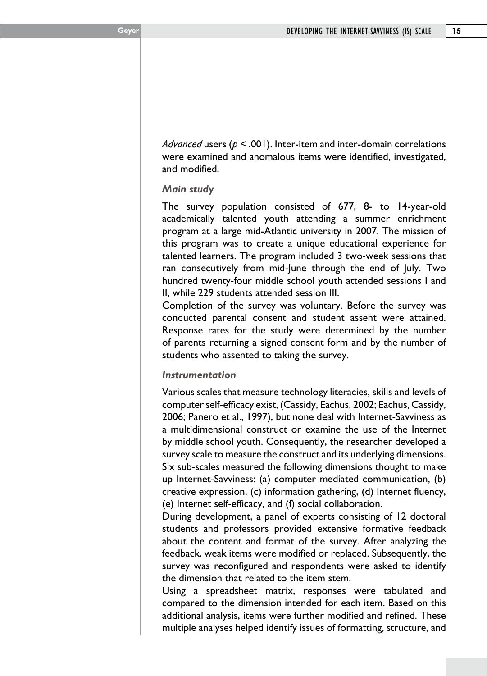*Advanced* users (*p* < .001). Inter-item and inter-domain correlations were examined and anomalous items were identified, investigated, and modified.

#### *Main study*

The survey population consisted of 677, 8- to 14-year-old academically talented youth attending a summer enrichment program at a large mid-Atlantic university in 2007. The mission of this program was to create a unique educational experience for talented learners. The program included 3 two-week sessions that ran consecutively from mid-June through the end of July. Two hundred twenty-four middle school youth attended sessions I and II, while 229 students attended session III.

Completion of the survey was voluntary. Before the survey was conducted parental consent and student assent were attained. Response rates for the study were determined by the number of parents returning a signed consent form and by the number of students who assented to taking the survey.

### *Instrumentation*

Various scales that measure technology literacies, skills and levels of computer self-efficacy exist, (Cassidy, Eachus, 2002; Eachus, Cassidy, 2006; Panero et al., 1997), but none deal with Internet-Savviness as a multidimensional construct or examine the use of the Internet by middle school youth. Consequently, the researcher developed a survey scale to measure the construct and its underlying dimensions. Six sub-scales measured the following dimensions thought to make up Internet-Savviness: (a) computer mediated communication, (b) creative expression, (c) information gathering, (d) Internet fluency, (e) Internet self-efficacy, and (f) social collaboration.

During development, a panel of experts consisting of 12 doctoral students and professors provided extensive formative feedback about the content and format of the survey. After analyzing the feedback, weak items were modified or replaced. Subsequently, the survey was reconfigured and respondents were asked to identify the dimension that related to the item stem.

Using a spreadsheet matrix, responses were tabulated and compared to the dimension intended for each item. Based on this additional analysis, items were further modified and refined. These multiple analyses helped identify issues of formatting, structure, and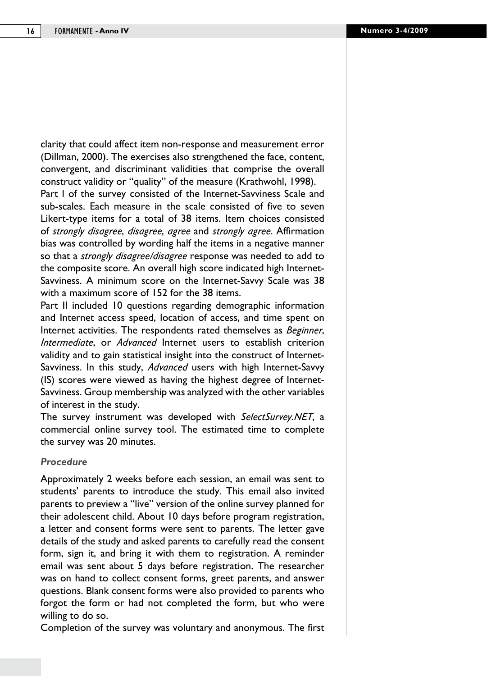clarity that could affect item non-response and measurement error (Dillman, 2000). The exercises also strengthened the face, content, convergent, and discriminant validities that comprise the overall construct validity or "quality" of the measure (Krathwohl, 1998). Part I of the survey consisted of the Internet-Savviness Scale and sub-scales. Each measure in the scale consisted of five to seven Likert-type items for a total of 38 items. Item choices consisted of *strongly disagree*, *disagree*, *agree* and *strongly agree*. Affirmation bias was controlled by wording half the items in a negative manner so that a *strongly disagree/disagree* response was needed to add to the composite score. An overall high score indicated high Internet-Savviness. A minimum score on the Internet-Savvy Scale was 38 with a maximum score of 152 for the 38 items.

Part II included 10 questions regarding demographic information and Internet access speed, location of access, and time spent on Internet activities. The respondents rated themselves as *Beginner*, *Intermediate*, or *Advanced* Internet users to establish criterion validity and to gain statistical insight into the construct of Internet-Savviness. In this study, *Advanced* users with high Internet-Savvy (IS) scores were viewed as having the highest degree of Internet-Savviness. Group membership was analyzed with the other variables of interest in the study.

The survey instrument was developed with *SelectSurvey.NET*, a commercial online survey tool. The estimated time to complete the survey was 20 minutes.

#### *Procedure*

Approximately 2 weeks before each session, an email was sent to students' parents to introduce the study. This email also invited parents to preview a "live" version of the online survey planned for their adolescent child. About 10 days before program registration, a letter and consent forms were sent to parents. The letter gave details of the study and asked parents to carefully read the consent form, sign it, and bring it with them to registration. A reminder email was sent about 5 days before registration. The researcher was on hand to collect consent forms, greet parents, and answer questions. Blank consent forms were also provided to parents who forgot the form or had not completed the form, but who were willing to do so.

Completion of the survey was voluntary and anonymous. The first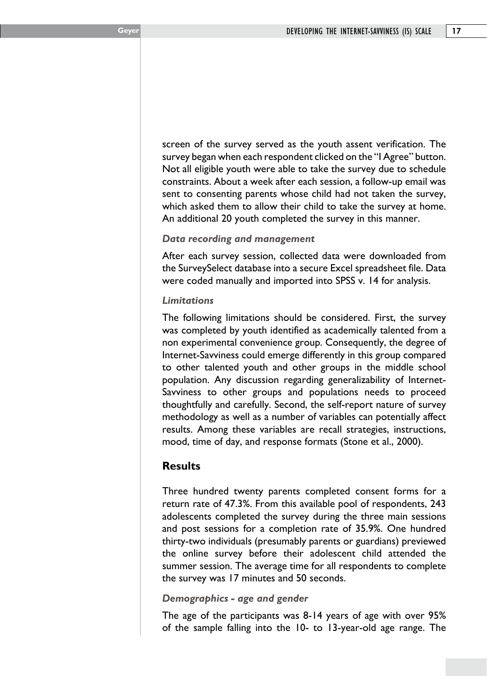screen of the survey served as the youth assent verification. The survey began when each respondent clicked on the "I Agree" button. Not all eligible youth were able to take the survey due to schedule constraints. About a week after each session, a follow-up email was sent to consenting parents whose child had not taken the survey, which asked them to allow their child to take the survey at home. An additional 20 youth completed the survey in this manner.

#### *Data recording and management*

After each survey session, collected data were downloaded from the SurveySelect database into a secure Excel spreadsheet file. Data were coded manually and imported into SPSS v. 14 for analysis.

#### *Limitations*

The following limitations should be considered. First, the survey was completed by youth identified as academically talented from a non experimental convenience group. Consequently, the degree of Internet-Savviness could emerge differently in this group compared to other talented youth and other groups in the middle school population. Any discussion regarding generalizability of Internet-Savviness to other groups and populations needs to proceed thoughtfully and carefully. Second, the self-report nature of survey methodology as well as a number of variables can potentially affect results. Among these variables are recall strategies, instructions, mood, time of day, and response formats (Stone et al., 2000).

# **Results**

Three hundred twenty parents completed consent forms for a return rate of 47.3%. From this available pool of respondents, 243 adolescents completed the survey during the three main sessions and post sessions for a completion rate of 35.9%. One hundred thirty-two individuals (presumably parents or guardians) previewed the online survey before their adolescent child attended the summer session. The average time for all respondents to complete the survey was 17 minutes and 50 seconds.

### *Demographics - age and gender*

The age of the participants was 8-14 years of age with over 95% of the sample falling into the 10- to 13-year-old age range. The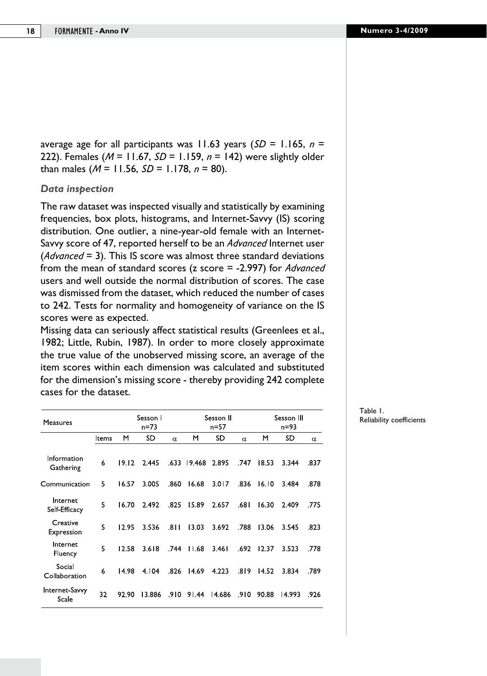average age for all participants was 11.63 years (*SD* = 1.165, *n* = 222). Females (*M* = 11.67, *SD* = 1.159, *n* = 142) were slightly older than males (*M* = 11.56, *SD* = 1.178, *n* = 80).

#### *Data inspection*

The raw dataset was inspected visually and statistically by examining frequencies, box plots, histograms, and Internet-Savvy (IS) scoring distribution. One outlier, a nine-year-old female with an Internet-Savvy score of 47, reported herself to be an *Advanced* Internet user (*Advanced* = 3). This IS score was almost three standard deviations from the mean of standard scores (z score = -2.997) for *Advanced* users and well outside the normal distribution of scores. The case was dismissed from the dataset, which reduced the number of cases to 242. Tests for normality and homogeneity of variance on the IS scores were as expected.

Missing data can seriously affect statistical results (Greenlees et al., 1982; Little, Rubin, 1987). In order to more closely approximate the true value of the unobserved missing score, an average of the item scores within each dimension was calculated and substituted for the dimension's missing score - thereby providing 242 complete cases for the dataset.

| Measures                  |       | Sesson I<br>n=73 |        |          |             | Sesson II<br>n=57 |          |       | Sesson III<br>n=93 |          |  |
|---------------------------|-------|------------------|--------|----------|-------------|-------------------|----------|-------|--------------------|----------|--|
|                           | Items | M                | SD     | $\alpha$ | M           | SD                | $\alpha$ | M     | SD                 | $\alpha$ |  |
| Information<br>Gathering  | 6     | 19.12            | 2.445  |          | .633 19.468 | 2.895             | .747     | 18.53 | 3.344              | .837     |  |
| Communication             | 5     | 16.57            | 3.005  | .860     | 16.68       | 3.017             | .836     | 16.10 | 3.484              | .878     |  |
| Internet<br>Self-Efficacy | 5     | 16.70            | 2.492  | .825     | 15.89       | 2.657             | .681     | 16.30 | 2.409              | .775     |  |
| Creative<br>Expression    | 5     | 12.95            | 3.536  | .8 I I   | 13.03       | 3.692             | .788     | 13.06 | 3.545              | .823     |  |
| Internet<br>Fluency       | 5     | 12.58            | 3.618  | .744     | 11.68       | 3.461             | .692     | 12.37 | 3.523              | .778     |  |
| Social<br>Collaboration   | 6     | 14.98            | 4.104  | .826     | 14.69       | 4.223             | .819     | 14.52 | 3.834              | .789     |  |
| Internet-Savvy<br>Scale   | 32    | 92.90            | 13.886 | .910     | 91.44       | 14.686            | .910     | 90.88 | 14.993             | .926     |  |

Table 1. Reliability coefficients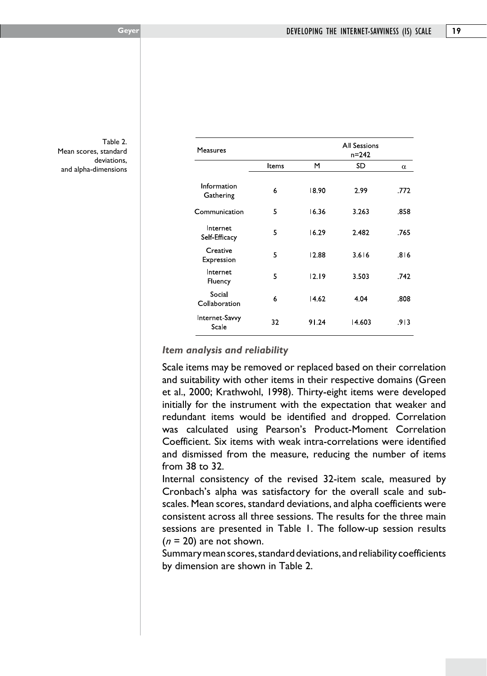Table 2. Mean scores, standard deviations, and alpha-dimensions

| Measures                       |       | <b>All Sessions</b><br>$n = 242$ |        |      |  |  |  |
|--------------------------------|-------|----------------------------------|--------|------|--|--|--|
|                                | Items | М                                | SD     | α    |  |  |  |
| Information<br>Gathering       | 6     | 18.90                            | 2.99   | .772 |  |  |  |
| Communication                  | 5     | 16.36                            | 3.263  | .858 |  |  |  |
| Internet<br>Self-Efficacy      | 5     | 16.29                            | 2.482  | .765 |  |  |  |
| Creative<br>Expression         | 5     | 12.88                            | 3.616  | .816 |  |  |  |
| Internet<br>Fluency            | 5     | 12.19                            | 3.503  | .742 |  |  |  |
| Social<br>Collaboration        | 6     | 14.62                            | 4.04   | .808 |  |  |  |
| <b>Internet Savvy</b><br>Scale | 32    | 91.24                            | 14.603 | .913 |  |  |  |
|                                |       |                                  |        |      |  |  |  |

### *Item analysis and reliability*

Scale items may be removed or replaced based on their correlation and suitability with other items in their respective domains (Green et al., 2000; Krathwohl, 1998). Thirty-eight items were developed initially for the instrument with the expectation that weaker and redundant items would be identified and dropped. Correlation was calculated using Pearson's Product-Moment Correlation Coefficient. Six items with weak intra-correlations were identified and dismissed from the measure, reducing the number of items from 38 to 32.

Internal consistency of the revised 32-item scale, measured by Cronbach's alpha was satisfactory for the overall scale and subscales. Mean scores, standard deviations, and alpha coefficients were consistent across all three sessions. The results for the three main sessions are presented in Table 1. The follow-up session results (*n* = 20) are not shown.

Summary mean scores, standard deviations, and reliability coefficients by dimension are shown in Table 2.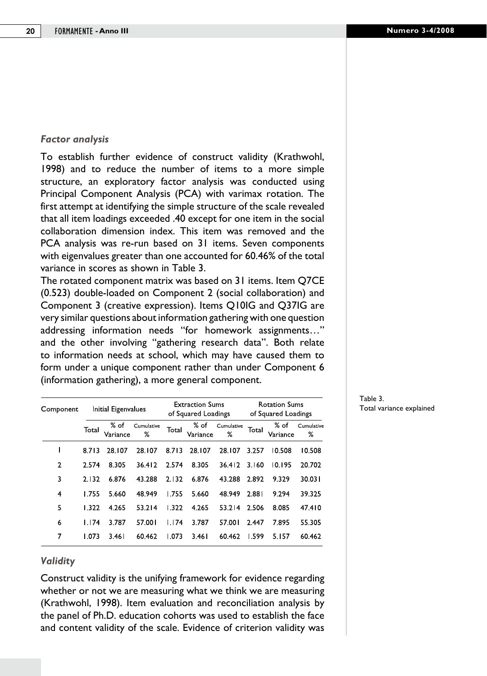#### *Factor analysis*

To establish further evidence of construct validity (Krathwohl, 1998) and to reduce the number of items to a more simple structure, an exploratory factor analysis was conducted using Principal Component Analysis (PCA) with varimax rotation. The first attempt at identifying the simple structure of the scale revealed that all item loadings exceeded .40 except for one item in the social collaboration dimension index. This item was removed and the PCA analysis was re-run based on 31 items. Seven components with eigenvalues greater than one accounted for 60.46% of the total variance in scores as shown in Table 3.

The rotated component matrix was based on 31 items. Item Q7CE (0.523) double-loaded on Component 2 (social collaboration) and Component 3 (creative expression). Items Q10IG and Q37IG are very similar questions about information gathering with one question addressing information needs "for homework assignments…" and the other involving "gathering research data". Both relate to information needs at school, which may have caused them to form under a unique component rather than under Component 6 (information gathering), a more general component.

| Component |       | Initial Eigenvalues |                 |       | <b>Extraction Sums</b><br>of Squared Loadings |                 | <b>Rotation Sums</b><br>of Squared Loadings |                    |                 |  |
|-----------|-------|---------------------|-----------------|-------|-----------------------------------------------|-----------------|---------------------------------------------|--------------------|-----------------|--|
|           | Total | % of<br>Variance    | Cumulative<br>% | Total | % of<br>Variance                              | Cumulative<br>% | Total                                       | $%$ of<br>Variance | Cumulative<br>℅ |  |
|           | 8.713 | 28.107              | 28.107          | 8.713 | 28.107                                        | 28.107          | 3.257                                       | 10.508             | 10.508          |  |
| 2         | 2.574 | 8.305               | 36.412          | 2.574 | 8.305                                         | 36.412          | 3.160                                       | 10.195             | 20.702          |  |
| 3         | 2.132 | 6.876               | 43.288          | 2.132 | 6.876                                         | 43.288          | 2.892                                       | 9.329              | 30.031          |  |
| 4         | 1.755 | 5.660               | 48.949          | 1.755 | 5.660                                         | 48.949          | 2.881                                       | 9.294              | 39.325          |  |
| 5         | 1.322 | 4.265               | 53.214          | 1.322 | 4.265                                         | 53.214          | 2.506                                       | 8.085              | 47.410          |  |
| 6         | 1.174 | 3.787               | 57.001          | I 174 | 3.787                                         | 57.001          | 2.447                                       | 7.895              | 55.305          |  |
| 7         | 1.073 | 3.46 I              | 60.462          | 1.073 | 3.461                                         | 60.462          | 1.599                                       | 5.157              | 60.462          |  |

#### *Validity*

Construct validity is the unifying framework for evidence regarding whether or not we are measuring what we think we are measuring (Krathwohl, 1998). Item evaluation and reconciliation analysis by the panel of Ph.D. education cohorts was used to establish the face and content validity of the scale. Evidence of criterion validity was

#### Table 3. Total variance explained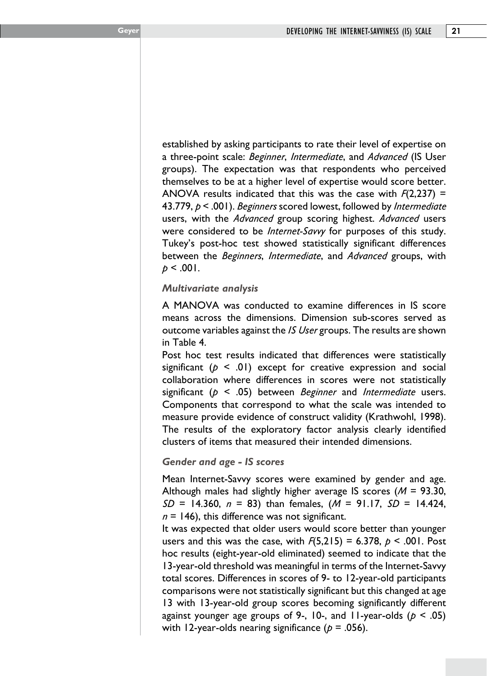established by asking participants to rate their level of expertise on a three-point scale: *Beginner*, *Intermediate*, and *Advanced* (IS User groups). The expectation was that respondents who perceived themselves to be at a higher level of expertise would score better. ANOVA results indicated that this was the case with *F*(2,237) = 43.779, *p* < .001). *Beginners* scored lowest, followed by *Intermediate* users, with the *Advanced* group scoring highest. *Advanced* users were considered to be *Internet-Savvy* for purposes of this study. Tukey's post-hoc test showed statistically significant differences between the *Beginners*, *Intermediate*, and *Advanced* groups, with  $p < .001$ .

#### *Multivariate analysis*

A MANOVA was conducted to examine differences in IS score means across the dimensions. Dimension sub-scores served as outcome variables against the *IS User* groups. The results are shown in Table 4.

Post hoc test results indicated that differences were statistically significant  $(p \le 0)$  except for creative expression and social collaboration where differences in scores were not statistically significant (*p* < .05) between *Beginner* and *Intermediate* users. Components that correspond to what the scale was intended to measure provide evidence of construct validity (Krathwohl, 1998). The results of the exploratory factor analysis clearly identified clusters of items that measured their intended dimensions.

#### *Gender and age - IS scores*

Mean Internet-Savvy scores were examined by gender and age. Although males had slightly higher average IS scores (*M* = 93.30, *SD* = 14.360, *n* = 83) than females, (*M* = 91.17, *SD* = 14.424,  $n = 146$ ), this difference was not significant.

It was expected that older users would score better than younger users and this was the case, with  $F(5,215) = 6.378$ ,  $p \le .001$ . Post hoc results (eight-year-old eliminated) seemed to indicate that the 13-year-old threshold was meaningful in terms of the Internet-Savvy total scores. Differences in scores of 9- to 12-year-old participants comparisons were not statistically significant but this changed at age 13 with 13-year-old group scores becoming significantly different against younger age groups of 9-, 10-, and 11-year-olds (*p* < .05) with 12-year-olds nearing significance  $(p = .056)$ .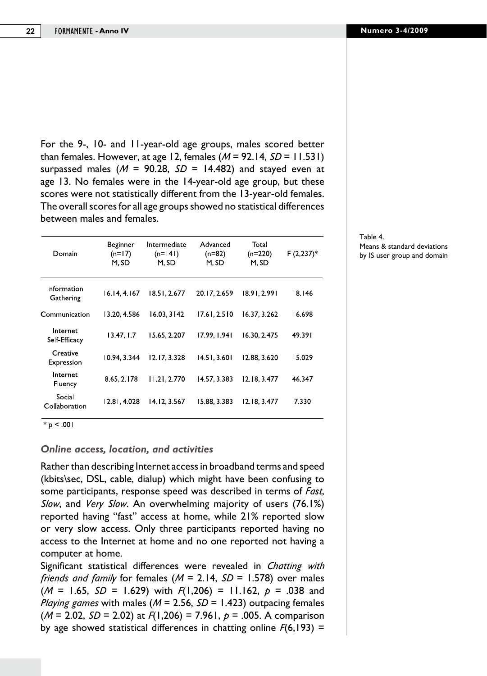For the 9-, 10- and 11-year-old age groups, males scored better than females. However, at age 12, females (*M* = 92.14, *SD* = 11.531) surpassed males ( $M = 90.28$ ,  $SD = 14.482$ ) and stayed even at age 13. No females were in the 14-year-old age group, but these scores were not statistically different from the 13-year-old females. The overall scores for all age groups showed no statistical differences between males and females.

| Domain                    | Beginner<br>$(n=17)$<br>M. SD | Intermediate<br>$(n=141)$<br>M. SD | Advanced<br>$(n=82)$<br>M, SD | Total<br>$(n=220)$<br>M, SD | $F(2,237)^*$ |
|---------------------------|-------------------------------|------------------------------------|-------------------------------|-----------------------------|--------------|
| Information<br>Gathering  | 16.14.4.167                   | 18.51.2.677                        | 20.17.2.659                   | 18.91.2.991                 | 18.146       |
| Communication             | 13.20, 4.586                  | 16.03.3142                         | 17.61, 2.510                  | 16.37, 3.262                | 16.698       |
| Internet<br>Self-Efficacy | 13.47, 1.7                    | 15.65, 2.207                       | 17.99, 1.941                  | 16.30, 2.475                | 49.391       |
| Creative<br>Expression    | 10.94, 3.344                  | 12.17.3.328                        | 14.51, 3.601                  | 12.88, 3.620                | 15.029       |
| Internet<br>Fluency       | 8.65, 2.178                   | 11.21.2.770                        | 14.57, 3.383                  | 12.18.3.477                 | 46.347       |
| Social<br>Collaboration   | 12.81, 4.028                  | 14.12, 3.567                       | 15.88, 3.383                  | 12.18.3.477                 | 7.330        |

 $*_{p}$  < .001

#### *Online access, location, and activities*

Rather than describing Internet access in broadband terms and speed (kbits\sec, DSL, cable, dialup) which might have been confusing to some participants, response speed was described in terms of *Fast*, *Slow*, and *Very Slow*. An overwhelming majority of users (76.1%) reported having "fast" access at home, while 21% reported slow or very slow access. Only three participants reported having no access to the Internet at home and no one reported not having a computer at home.

Significant statistical differences were revealed in *Chatting with friends and family* for females (*M* = 2.14, *SD* = 1.578) over males (*M* = 1.65, *SD* = 1.629) with *F*(1,206) = 11.162, *p* = .038 and *Playing games* with males (*M* = 2.56, *SD* = 1.423) outpacing females (*M* = 2.02, *SD* = 2.02) at *F*(1,206) = 7.961, *p* = .005. A comparison by age showed statistical differences in chatting online *F*(6,193) =

#### Table 4. Means & standard deviations by IS user group and domain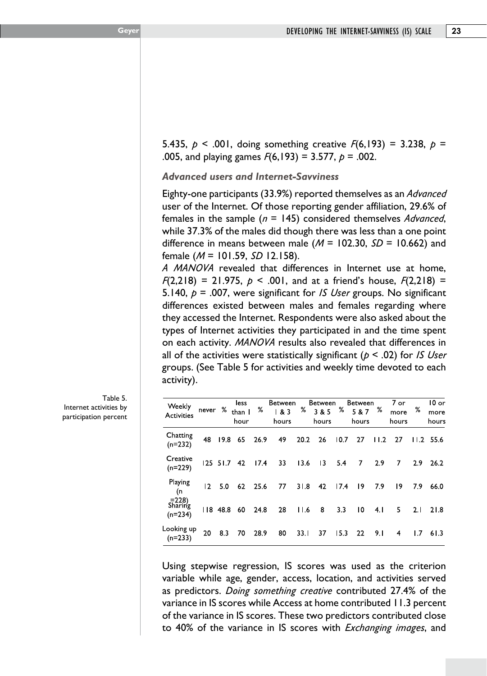5.435, *p* < .001, doing something creative *F*(6,193) = 3.238, *p* = .005, and playing games *F*(6,193) = 3.577, *p* = .002.

*Advanced users and Internet-Savviness*

Eighty-one participants (33.9%) reported themselves as an *Advanced* user of the Internet. Of those reporting gender affiliation, 29.6% of females in the sample (*n* = 145) considered themselves *Advanced*, while 37.3% of the males did though there was less than a one point difference in means between male (*M* = 102.30, *SD* = 10.662) and female (*M* = 101.59, *SD* 12.158).

*A MANOVA* revealed that differences in Internet use at home, *<sup>F</sup>*(2,218) = 21.975, *p* < .001, and at a friend's house, *F*(2,218) = 5.140, *p* = .007, were significant for *IS User* groups. No significant differences existed between males and females regarding where they accessed the Internet. Respondents were also asked about the types of Internet activities they participated in and the time spent on each activity. *MANOVA* results also revealed that differences in all of the activities were statistically significant (*p* < .02) for *IS User* groups. (See Table 5 for activities and weekly time devoted to each activity).

| Weekly<br>Activities                       | never    | ℅    | less<br>than I<br>hour | %    | Between<br>1 & 83<br>hours | %    | Between<br>3 & 5<br>hours | %    | Between<br>5 & 7<br>hours | %    | 7 or<br>more<br>hours | ℅   | $10$ or<br>more<br>hours |
|--------------------------------------------|----------|------|------------------------|------|----------------------------|------|---------------------------|------|---------------------------|------|-----------------------|-----|--------------------------|
| Chatting<br>$(n=232)$                      | 48       | 19.8 | 65                     | 26.9 | 49                         | 20.2 | 26                        | 10.7 | 27                        | 11.2 | 27                    |     | $11.2$ 55.6              |
| Creative<br>$(n=229)$                      | 125 51.7 |      | -42                    | 17.4 | 33                         | 13.6 | $\overline{13}$           | 5.4  | 7                         | 2.9  | 7                     | 2.9 | 26.2                     |
| Playing<br>(n                              | 12       | 5.0  | 62                     | 25.6 | 77                         | 31.8 | 42                        | 17.4 | 19                        | 7.9  | 19                    | 7.9 | 66.0                     |
| $\frac{=228}{\text{Sharing}}$<br>$(n=234)$ | 8 48.8   |      | 60                     | 24.8 | 28                         | 11.6 | 8                         | 3.3  | 10                        | 4.1  | 5                     | 2.1 | 21.8                     |
| Looking up<br>$(n=233)$                    | 20       | 8.3  | 70                     | 28.9 | 80                         | 33.I | 37                        | 15.3 | 22                        | 9.I  | 4                     | 1.7 | 61.3                     |

Using stepwise regression, IS scores was used as the criterion variable while age, gender, access, location, and activities served as predictors. *Doing something creative* contributed 27.4% of the variance in IS scores while Access at home contributed 11.3 percent of the variance in IS scores. These two predictors contributed close to 40% of the variance in IS scores with *Exchanging images*, and

Table 5. Internet activities by participation percent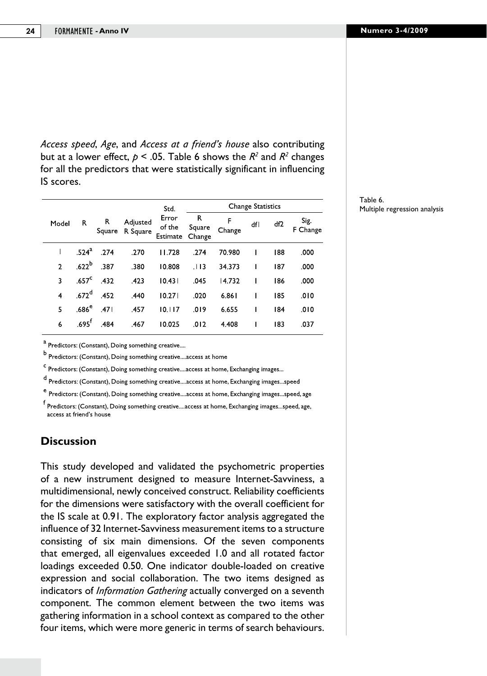*Access speed*, *Age*, and *Access at a friend's house* also contributing but at a lower effect,  $p < .05$ . Table 6 shows the  $R^2$  and  $R^2$  changes for all the predictors that were statistically significant in influencing IS scores.

|              |                   |             |                      | Std.                        |                       |             | <b>Change Statistics</b> |                 |                  |
|--------------|-------------------|-------------|----------------------|-----------------------------|-----------------------|-------------|--------------------------|-----------------|------------------|
| Model        | R                 | R<br>Square | Adjusted<br>R Square | Error<br>of the<br>Estimate | R<br>Square<br>Change | F<br>Change | dfl                      | df <sub>2</sub> | Sig.<br>F Change |
| $\mathbf I$  | .524 <sup>a</sup> | .274        | .270                 | 11.728                      | .274                  | 70.980      | I                        | 188             | .000             |
| $\mathbf{2}$ | .622 <sup>b</sup> | .387        | .380                 | 10.808                      | .113                  | 34.373      | ı                        | 187             | .000             |
| 3            | .657 <sup>c</sup> | .432        | .423                 | 10.431                      | .045                  | 14.732      | ı                        | 186             | .000             |
| 4            | .672 <sup>d</sup> | .452        | .440                 | 10.271                      | .020                  | 6.861       | ı                        | 185             | .010             |
| 5            | .686 $^{\rm e}$   | .471        | .457                 | 10.117                      | .019                  | 6.655       | L                        | 184             | .010             |
| 6            | $.695^{\dagger}$  | .484        | .467                 | 10.025                      | .012                  | 4.408       | ı                        | 183             | .037             |
|              |                   |             |                      |                             |                       |             |                          |                 |                  |

Table 6. Multiple regression analysis

<sup>a</sup> Predictors: (Constant), Doing something creative....

 $<sup>b</sup>$  Predictors: (Constant), Doing something creative....access at home</sup>

<sup>C</sup> Predictors: (Constant), Doing something creative....access at home, Exchanging images...

d Predictors: (Constant), Doing something creative....access at home, Exchanging images...speed

e<br>Predictors: (Constant), Doing something creative....access at home, Exchanging images...speed, age

 $^{\mathsf{f}}$ Predictors: (Constant), Doing something creative....access at home, Exchanging images...speed, age, access at friend's house

# **Discussion**

This study developed and validated the psychometric properties of a new instrument designed to measure Internet-Savviness, a multidimensional, newly conceived construct. Reliability coefficients for the dimensions were satisfactory with the overall coefficient for the IS scale at 0.91. The exploratory factor analysis aggregated the influence of 32 Internet-Savviness measurement items to a structure consisting of six main dimensions. Of the seven components that emerged, all eigenvalues exceeded 1.0 and all rotated factor loadings exceeded 0.50. One indicator double-loaded on creative expression and social collaboration. The two items designed as indicators of *Information Gathering* actually converged on a seventh component. The common element between the two items was gathering information in a school context as compared to the other four items, which were more generic in terms of search behaviours.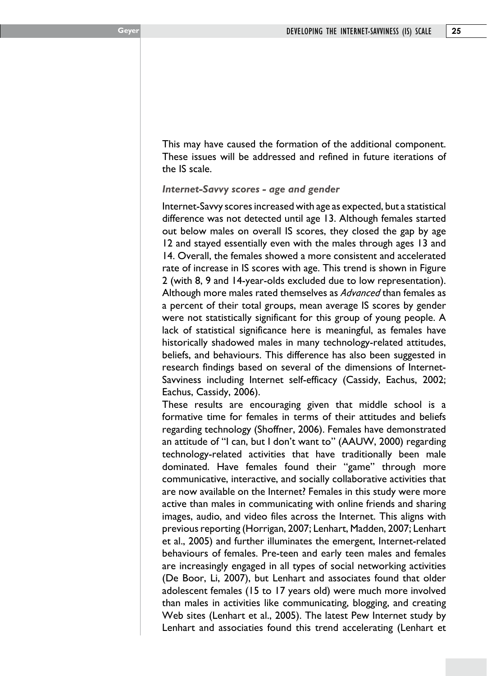This may have caused the formation of the additional component. These issues will be addressed and refined in future iterations of the IS scale.

*Internet-Savvy scores - age and gender*

Internet-Savvy scores increased with age as expected, but a statistical difference was not detected until age 13. Although females started out below males on overall IS scores, they closed the gap by age 12 and stayed essentially even with the males through ages 13 and 14. Overall, the females showed a more consistent and accelerated rate of increase in IS scores with age. This trend is shown in Figure 2 (with 8, 9 and 14-year-olds excluded due to low representation). Although more males rated themselves as *Advanced* than females as a percent of their total groups, mean average IS scores by gender were not statistically significant for this group of young people. A lack of statistical significance here is meaningful, as females have historically shadowed males in many technology-related attitudes, beliefs, and behaviours. This difference has also been suggested in research findings based on several of the dimensions of Internet-Savviness including Internet self-efficacy (Cassidy, Eachus, 2002; Eachus, Cassidy, 2006).

These results are encouraging given that middle school is a formative time for females in terms of their attitudes and beliefs regarding technology (Shoffner, 2006). Females have demonstrated an attitude of "I can, but I don't want to" (AAUW, 2000) regarding technology-related activities that have traditionally been male dominated. Have females found their "game" through more communicative, interactive, and socially collaborative activities that are now available on the Internet? Females in this study were more active than males in communicating with online friends and sharing images, audio, and video files across the Internet. This aligns with previous reporting (Horrigan, 2007; Lenhart, Madden, 2007; Lenhart et al., 2005) and further illuminates the emergent, Internet-related behaviours of females. Pre-teen and early teen males and females are increasingly engaged in all types of social networking activities (De Boor, Li, 2007), but Lenhart and associates found that older adolescent females (15 to 17 years old) were much more involved than males in activities like communicating, blogging, and creating Web sites (Lenhart et al., 2005). The latest Pew Internet study by Lenhart and associaties found this trend accelerating (Lenhart et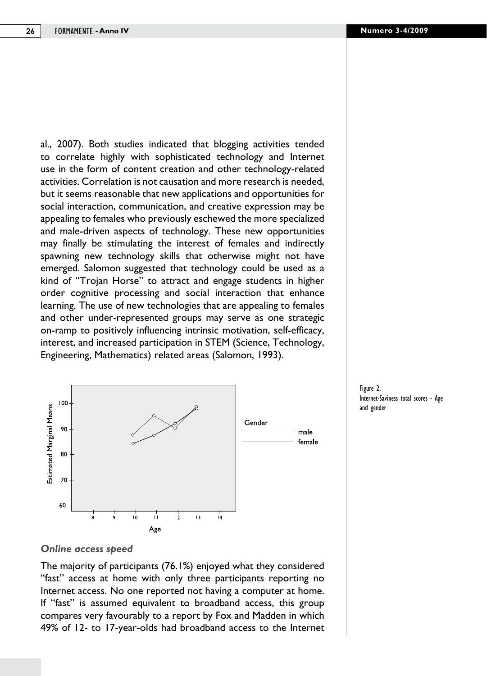al., 2007). Both studies indicated that blogging activities tended to correlate highly with sophisticated technology and Internet use in the form of content creation and other technology-related activities. Correlation is not causation and more research is needed, but it seems reasonable that new applications and opportunities for social interaction, communication, and creative expression may be appealing to females who previously eschewed the more specialized and male-driven aspects of technology. These new opportunities may finally be stimulating the interest of females and indirectly spawning new technology skills that otherwise might not have emerged. Salomon suggested that technology could be used as a kind of "Trojan Horse" to attract and engage students in higher order cognitive processing and social interaction that enhance learning. The use of new technologies that are appealing to females and other under-represented groups may serve as one strategic on-ramp to positively influencing intrinsic motivation, self-efficacy, interest, and increased participation in STEM (Science, Technology, Engineering, Mathematics) related areas (Salomon, 1993).



Figure 2. Internet-Saviness total scores - Age and gender

#### *Online access speed*

The majority of participants (76.1%) enjoyed what they considered "fast" access at home with only three participants reporting no Internet access. No one reported not having a computer at home. If "fast" is assumed equivalent to broadband access, this group compares very favourably to a report by Fox and Madden in which 49% of 12- to 17-year-olds had broadband access to the Internet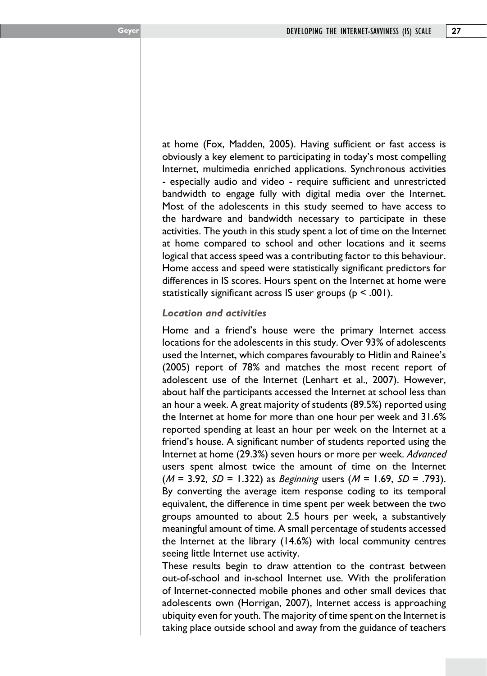at home (Fox, Madden, 2005). Having sufficient or fast access is obviously a key element to participating in today's most compelling Internet, multimedia enriched applications. Synchronous activities - especially audio and video - require sufficient and unrestricted bandwidth to engage fully with digital media over the Internet. Most of the adolescents in this study seemed to have access to the hardware and bandwidth necessary to participate in these activities. The youth in this study spent a lot of time on the Internet at home compared to school and other locations and it seems logical that access speed was a contributing factor to this behaviour. Home access and speed were statistically significant predictors for differences in IS scores. Hours spent on the Internet at home were statistically significant across IS user groups ( $p < .001$ ).

#### *Location and activities*

Home and a friend's house were the primary Internet access locations for the adolescents in this study. Over 93% of adolescents used the Internet, which compares favourably to Hitlin and Rainee's (2005) report of 78% and matches the most recent report of adolescent use of the Internet (Lenhart et al., 2007). However, about half the participants accessed the Internet at school less than an hour a week. A great majority of students (89.5%) reported using the Internet at home for more than one hour per week and 31.6% reported spending at least an hour per week on the Internet at a friend's house. A significant number of students reported using the Internet at home (29.3%) seven hours or more per week. *Advanced* users spent almost twice the amount of time on the Internet (*M* = 3.92, *SD* = 1.322) as *Beginning* users (*M* = 1.69, *SD* = .793). By converting the average item response coding to its temporal equivalent, the difference in time spent per week between the two groups amounted to about 2.5 hours per week, a substantively meaningful amount of time. A small percentage of students accessed the Internet at the library (14.6%) with local community centres seeing little Internet use activity.

These results begin to draw attention to the contrast between out-of-school and in-school Internet use. With the proliferation of Internet-connected mobile phones and other small devices that adolescents own (Horrigan, 2007), Internet access is approaching ubiquity even for youth. The majority of time spent on the Internet is taking place outside school and away from the guidance of teachers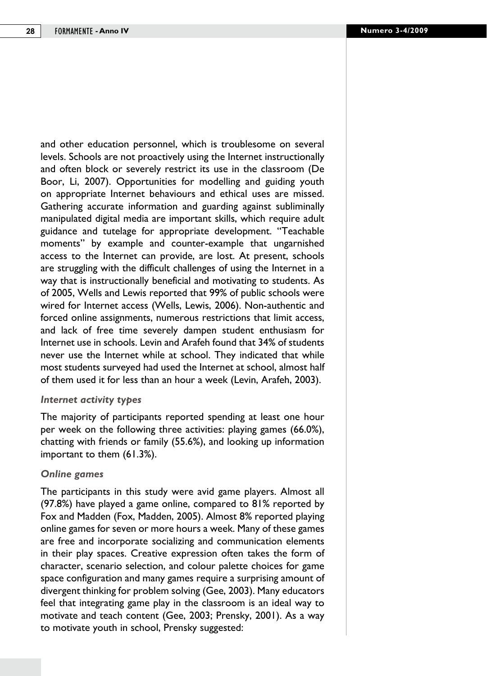and other education personnel, which is troublesome on several levels. Schools are not proactively using the Internet instructionally and often block or severely restrict its use in the classroom (De Boor, Li, 2007). Opportunities for modelling and guiding youth on appropriate Internet behaviours and ethical uses are missed. Gathering accurate information and guarding against subliminally manipulated digital media are important skills, which require adult guidance and tutelage for appropriate development. "Teachable moments" by example and counter-example that ungarnished access to the Internet can provide, are lost. At present, schools are struggling with the difficult challenges of using the Internet in a way that is instructionally beneficial and motivating to students. As of 2005, Wells and Lewis reported that 99% of public schools were wired for Internet access (Wells, Lewis, 2006). Non-authentic and forced online assignments, numerous restrictions that limit access, and lack of free time severely dampen student enthusiasm for Internet use in schools. Levin and Arafeh found that 34% of students never use the Internet while at school. They indicated that while most students surveyed had used the Internet at school, almost half of them used it for less than an hour a week (Levin, Arafeh, 2003).

#### *Internet activity types*

The majority of participants reported spending at least one hour per week on the following three activities: playing games (66.0%), chatting with friends or family (55.6%), and looking up information important to them (61.3%).

#### *Online games*

The participants in this study were avid game players. Almost all (97.8%) have played a game online, compared to 81% reported by Fox and Madden (Fox, Madden, 2005). Almost 8% reported playing online games for seven or more hours a week. Many of these games are free and incorporate socializing and communication elements in their play spaces. Creative expression often takes the form of character, scenario selection, and colour palette choices for game space configuration and many games require a surprising amount of divergent thinking for problem solving (Gee, 2003). Many educators feel that integrating game play in the classroom is an ideal way to motivate and teach content (Gee, 2003; Prensky, 2001). As a way to motivate youth in school, Prensky suggested: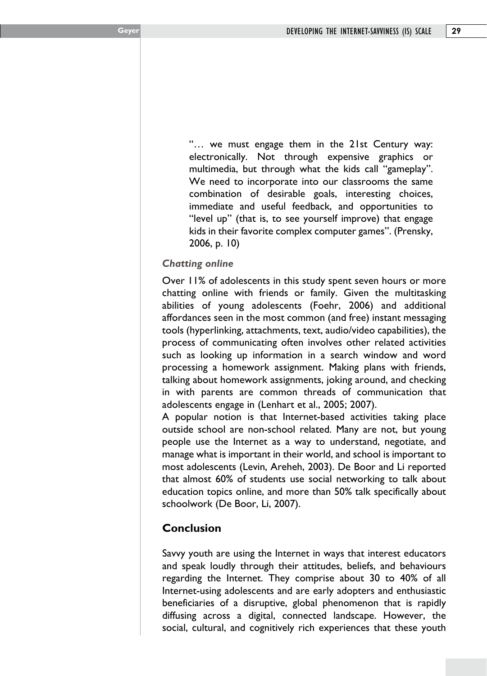"… we must engage them in the 21st Century way: electronically. Not through expensive graphics or multimedia, but through what the kids call "gameplay". We need to incorporate into our classrooms the same combination of desirable goals, interesting choices, immediate and useful feedback, and opportunities to "level up" (that is, to see yourself improve) that engage kids in their favorite complex computer games". (Prensky, 2006, p. 10)

# *Chatting online*

Over 11% of adolescents in this study spent seven hours or more chatting online with friends or family. Given the multitasking abilities of young adolescents (Foehr, 2006) and additional affordances seen in the most common (and free) instant messaging tools (hyperlinking, attachments, text, audio/video capabilities), the process of communicating often involves other related activities such as looking up information in a search window and word processing a homework assignment. Making plans with friends, talking about homework assignments, joking around, and checking in with parents are common threads of communication that adolescents engage in (Lenhart et al., 2005; 2007).

A popular notion is that Internet-based activities taking place outside school are non-school related. Many are not, but young people use the Internet as a way to understand, negotiate, and manage what is important in their world, and school is important to most adolescents (Levin, Areheh, 2003). De Boor and Li reported that almost 60% of students use social networking to talk about education topics online, and more than 50% talk specifically about schoolwork (De Boor, Li, 2007).

# **Conclusion**

Savvy youth are using the Internet in ways that interest educators and speak loudly through their attitudes, beliefs, and behaviours regarding the Internet. They comprise about 30 to 40% of all Internet-using adolescents and are early adopters and enthusiastic beneficiaries of a disruptive, global phenomenon that is rapidly diffusing across a digital, connected landscape. However, the social, cultural, and cognitively rich experiences that these youth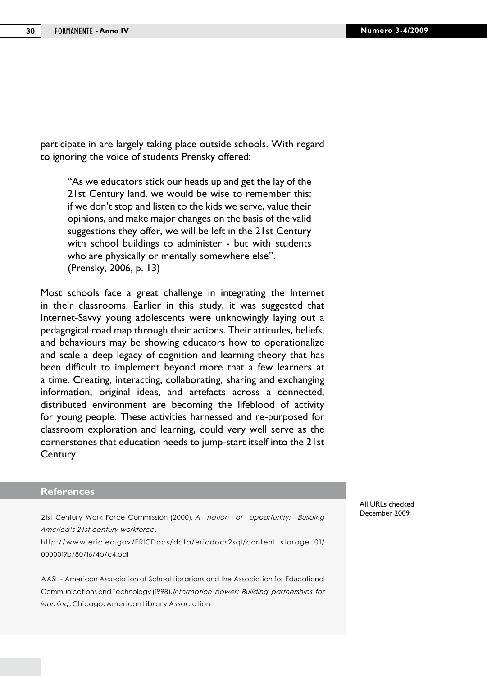participate in are largely taking place outside schools. With regard to ignoring the voice of students Prensky offered:

"As we educators stick our heads up and get the lay of the 21st Century land, we would be wise to remember this: if we don't stop and listen to the kids we serve, value their opinions, and make major changes on the basis of the valid suggestions they offer, we will be left in the 21st Century with school buildings to administer - but with students who are physically or mentally somewhere else". (Prensky, 2006, p. 13)

Most schools face a great challenge in integrating the Internet in their classrooms. Earlier in this study, it was suggested that Internet-Savvy young adolescents were unknowingly laying out a pedagogical road map through their actions. Their attitudes, beliefs, and behaviours may be showing educators how to operationalize and scale a deep legacy of cognition and learning theory that has been difficult to implement beyond more that a few learners at a time. Creating, interacting, collaborating, sharing and exchanging information, original ideas, and artefacts across a connected, distributed environment are becoming the lifeblood of activity for young people. These activities harnessed and re-purposed for classroom exploration and learning, could very well serve as the cornerstones that education needs to jump-start itself into the 21st Century.

#### **References**

21st Century Work Force Commission (2000), *A nation of opportunity: Building America's 21st century workforce*,

http://www.eric.ed.gov/ERICDocs/data/ericdocs2sql/content\_storage\_01/ 0000019b/80/16/4b/c4.pdf

AASL - American Association of School Librarians and the Association for Educational Communications and Technology (1998), *Information power: Building partnerships for learning*, Chicago, American Library Association

All URLs checked December 2009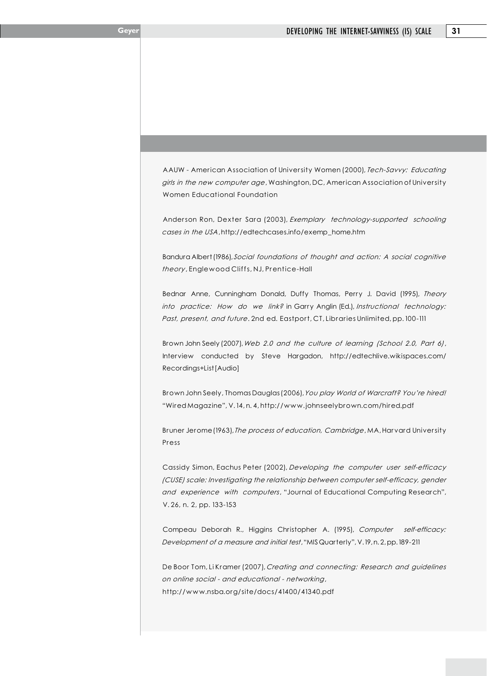AAUW - American Association of University Women (2000), *Tech-Savvy: Educating girls in the new computer age*, Washington, DC, American Association of University Women Educational Foundation

Anderson Ron, Dexter Sara (2003), *Exemplary technology-supported schooling cases in the USA*, http://edtechcases.info/exemp\_home.htm

Bandura Albert (1986), *Social foundations of thought and action: A social cognitive theory*, Englewood Cliffs, NJ, Prentice-Hall

Bednar Anne, Cunningham Donald, Duffy Thomas, Perry J. David (1995), *Theory into practice: How do we link?* in Garry Anglin (Ed.), *Instructional technology: Past, present, and future*. 2nd ed. Eastport, CT, Libraries Unlimited, pp. 100-111

Brown John Seely (2007), *Web 2.0 and the culture of learning (School 2.0, Part 6)*, Interview conducted by Steve Hargadon, http://edtechlive.wikispaces.com/ Recordings+List [Audio]

Brown John Seely, Thomas Dauglas (2006), *You play World of Warcraft? You're hired!* "Wired Magazine", V. 14, n. 4, http://www.johnseelybrown.com/hired.pdf

Bruner Jerome (1963), *The process of education, Cambridge*, MA, Harvard University Press

Cassidy Simon, Eachus Peter (2002), *Developing the computer user self-efficacy (CUSE) scale: Investigating the relationship between computer self-efficacy, gender and experience with computers*, "Journal of Educational Computing Research", V. 26, n. 2, pp. 133-153

Compeau Deborah R., Higgins Christopher A. (1995), *Computer self-efficacy: Development of a measure and initial test*, "MIS Quarterly", V. 19, n. 2, pp. 189-211

De Boor Tom, Li Kramer (2007), *Creating and connecting: Research and guidelines on online social - and educational - networking*, http://www.nsba.org/site/docs/41400/41340.pdf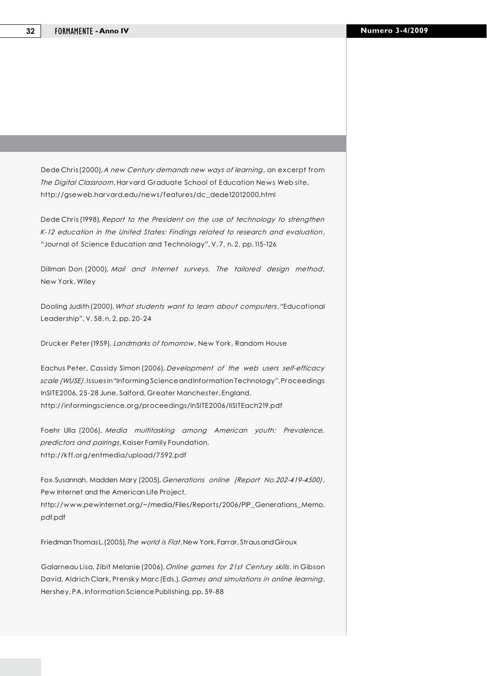Dede Chris (2000), *A new Century demands new ways of learning*, an excerpt from *The Digital Classroom*, Harvard Graduate School of Education News Web site, http://gseweb.harvard.edu/news/features/dc\_dede12012000.html

Dede Chris (1998), *Report to the President on the use of technology to strengthen K-12 education in the United States: Findings related to research and evaluation*, "Journal of Science Education and Technology", V. 7, n. 2, pp. 115-126

Dillman Don (2000), *Mail and Internet surveys. The tailored design method*, New York, Wiley

Dooling Judith (2000), *What students want to learn about computers*, "Educational Leadership", V. 58, n. 2, pp. 20-24

Drucker Peter (1959), *Landmarks of tomorrow*, New York, Random House

Eachus Peter, Cassidy Simon (2006), *Development of the web users self-efficacy scale (WUSE)*. Issues in "Informing Science and Information Technology", Proceedings InSITE2006, 25-28 June, Salford, Greater Manchester, England, http://informingscience.org/proceedings/InSITE2006/IISITEach219.pdf

Foehr Ulla (2006), *Media multitasking among American youth: Prevalence, predictors and pairings*, Kaiser Family Foundation, http://kff.org/entmedia/upload/7592.pdf

Fox Susannah, Madden Mary (2005), *Generations online (Report No.202-419-4500)*, Pew Internet and the American Life Project, http://www.pewinternet.org/~/media/Files/Reports/2006/PIP\_Generations\_Memo. pdf.pdf

Friedman Thomas L. (2005), *The world is Flat*, New York, Farrar, Straus and Giroux

Galarneau Lisa, Zibit Melanie (2006), *Online games for 21st Century skills*, in Gibson David, Aldrich Clark, Prensky Marc (Eds.), *Games and simulations in online learning*, Hershey, PA, Information Science Publishing, pp. 59-88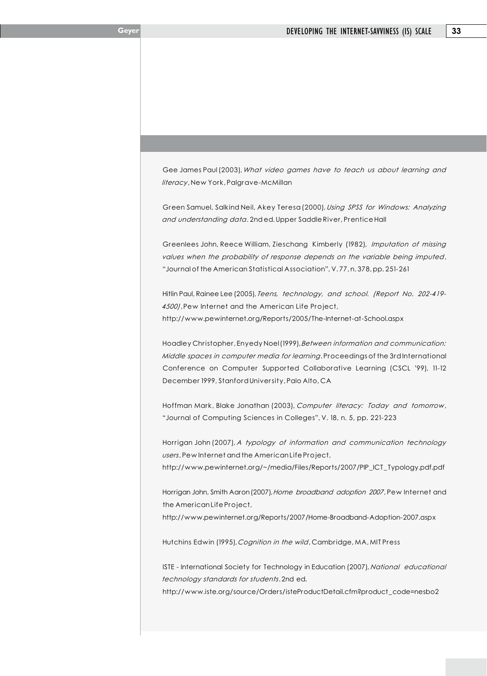Gee James Paul (2003), *What video games have to teach us about learning and literacy*, New York, Palgrave-McMillan

Green Samuel, Salkind Neil, Akey Teresa (2000), *Using SPSS for Windows: Analyzing and understanding data*. 2nd ed. Upper Saddle River, Prentice Hall

Greenlees John, Reece William, Zieschang Kimberly (1982), *Imputation of missing values when the probability of response depends on the variable being imputed*, "Journal of the American Statistical Association", V. 77, n. 378, pp. 251-261

Hitlin Paul, Rainee Lee (2005), *Teens, technology, and school. (Report No. 202-419- 4500)*, Pew Internet and the American Life Project, http://www.pewinternet.org/Reports/2005/The-Internet-at-School.aspx

Hoadley Christopher, Enyedy Noel (1999), *Between information and communication: Middle spaces in computer media for learning*. Proceedings of the 3rd International Conference on Computer Supported Collaborative Learning (CSCL '99), 11-12 December 1999, Stanford University, Palo Alto, CA

Hoffman Mark, Blake Jonathan (2003), *Computer literacy: Today and tomorrow*, "Journal of Computing Sciences in Colleges", V. 18, n. 5, pp. 221-223

Horrigan John (2007), *A typology of information and communication technology users*, Pew Internet and the American Life Project,

http://www.pewinternet.org/~/media/Files/Reports/2007/PIP\_ICT\_Typology.pdf.pdf

Horrigan John, Smith Aaron (2007), *Home broadband adoption 2007*, Pew Internet and the American Life Project,

http://www.pewinternet.org/Reports/2007/Home-Broadband-Adoption-2007.aspx

Hutchins Edwin (1995), *Cognition in the wild*, Cambridge, MA, MIT Press

ISTE - International Society for Technology in Education (2007), *National educational technology standards for students*. 2nd ed. http://www.iste.org/source/Orders/isteProductDetail.cfm?product\_code=nesbo2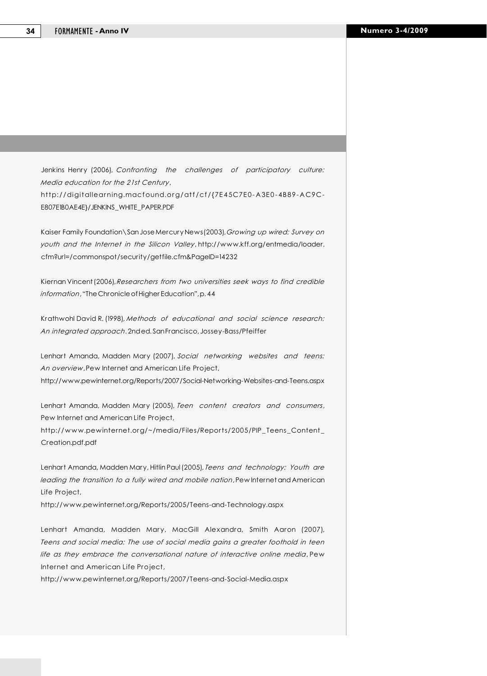Jenkins Henry (2006), *Confronting the challenges of participatory culture: Media education for the 21st Century*, http://digitallearning.macfound.org/atf/cf/{7E45C7E0-A3E0-4B89-AC9C-E807E1B0AE4E}/JENKINS\_WHITE\_PAPER.PDF

Kaiser Family Foundation\San Jose Mercury News (2003), *Growing up wired: Survey on youth and the Internet in the Silicon Valley*, http://www.kff.org/entmedia/loader. cfm?url=/commonspot/security/getfile.cfm&PageID=14232

Kiernan Vincent (2006), *Researchers from two universities seek ways to find credible information*, "The Chronicle of Higher Education", p. 44

Krathwohl David R. (1998), *Methods of educational and social science research: An integrated approach*. 2nd ed. San Francisco, Jossey-Bass/Pfeiffer

Lenhart Amanda, Madden Mary (2007), *Social networking websites and teens: An overview*, Pew Internet and American Life Project, http://www.pewinternet.org/Reports/2007/Social-Networking-Websites-and-Teens.aspx

Lenhart Amanda, Madden Mary (2005), *Teen content creators and consumers*, Pew Internet and American Life Project,

http://www.pewinternet.org/~/media/Files/Reports/2005/PIP\_Teens\_Content\_ Creation.pdf.pdf

Lenhart Amanda, Madden Mary, Hitlin Paul (2005), *Teens and technology: Youth are leading the transition to a fully wired and mobile nation*, Pew Internet and American Life Project,

http://www.pewinternet.org/Reports/2005/Teens-and-Technology.aspx

Lenhart Amanda, Madden Mary, MacGill Alexandra, Smith Aaron (2007), *Teens and social media: The use of social media gains a greater foothold in teen life as they embrace the conversational nature of interactive online media*, Pew Internet and American Life Project,

http://www.pewinternet.org/Reports/2007/Teens-and-Social-Media.aspx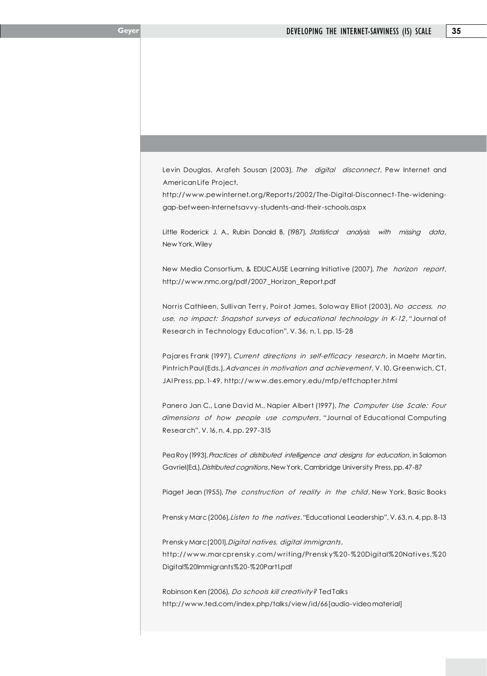Levin Douglas, Arafeh Sousan (2003), *The digital disconnect*, Pew Internet and American Life Project,

http://www.pewinternet.org/Reports/2002/The-Digital-Disconnect-The-wideninggap-between-Internetsavvy-students-and-their-schools.aspx

Little Roderick J. A., Rubin Donald B. (1987), *Statistical analysis with missing data*, New York, Wiley

New Media Consortium, & EDUCAUSE Learning Initiative (2007), *The horizon report*, http://www.nmc.org/pdf/2007\_Horizon\_Report.pdf

Norris Cathleen, Sullivan Terry, Poirot James, Soloway Elliot (2003), *No access, no use, no impact: Snapshot surveys of educational technology in K-12*, "Journal of Research in Technology Education", V. 36, n. 1, pp. 15-28

Pajares Frank (1997), *Current directions in self-efficacy research*, in Maehr Martin, Pintrich Paul (Eds.), *Advances in motivation and achievement*, V. 10, Greenwich, CT, JAI Press, pp. 1-49, http://www.des.emory.edu/mfp/effchapter.html

Panero Jan C., Lane David M., Napier Albert (1997), *The Computer Use Scale: Four dimensions of how people use computers*, "Journal of Educational Computing Research", V. 16, n. 4, pp. 297-315

Pea Roy (1993), *Practices of distributed intelligence and designs for education*, in Salomon Gavriel (Ed.), *Distributed cognitions*, New York, Cambridge University Press, pp. 47-87

Piaget Jean (1955), *The construction of reality in the child*, New York, Basic Books

Prensky Marc (2006), *Listen to the natives*, "Educational Leadership", V. 63, n. 4, pp. 8-13

Prensky Marc (2001), *Digital natives, digital immigrants*, http://www.marcprensky.com/writing/Prensky%20-%20Digital%20Natives,%20 Digital%20Immigrants%20-%20Part1.pdf

Robinson Ken (2006), *Do schools kill creativity?* Ted Talks http://www.ted.com/index.php/talks/view/id/66 [audio-video material]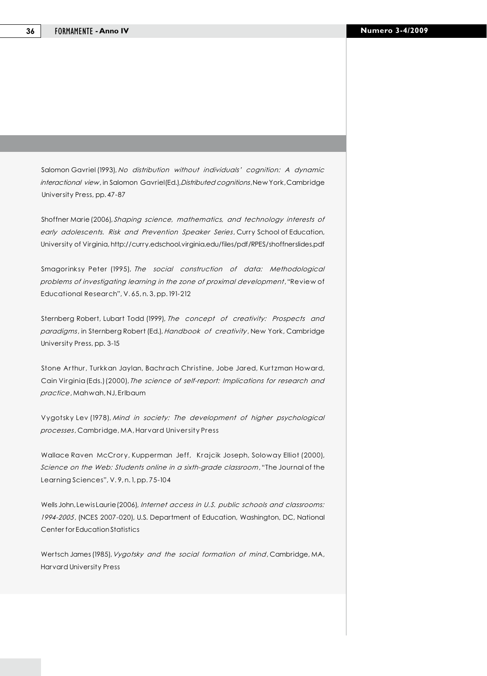Salomon Gavriel (1993), *No distribution without individuals' cognition: A dynamic interactional view*, in Salomon Gavriel (Ed.), *Distributed cognitions*, New York, Cambridge University Press, pp. 47-87

Shoffner Marie (2006), *Shaping science, mathematics, and technology interests of early adolescents. Risk and Prevention Speaker Series*, Curry School of Education, University of Virginia, http://curry.edschool.virginia.edu/files/pdf/RPES/shoffnerslides.pdf

Smagorinksy Peter (1995), *The social construction of data: Methodological problems of investigating learning in the zone of proximal development*, "Review of Educational Research", V. 65, n. 3, pp. 191-212

Sternberg Robert, Lubart Todd (1999), *The concept of creativity: Prospects and paradigms*, in Sternberg Robert (Ed.), *Handbook of creativity*, New York, Cambridge University Press, pp. 3-15

Stone Arthur, Turkkan Jaylan, Bachrach Christine, Jobe Jared, Kurtzman Howard, Cain Virginia (Eds.) (2000), *The science of self-report: Implications for research and practice*, Mahwah, NJ, Erlbaum

Vygotsky Lev (1978), *Mind in society: The development of higher psychological processes*, Cambridge, MA, Harvard University Press

Wallace Raven McCrory, Kupperman Jeff, Krajcik Joseph, Soloway Elliot (2000), *Science on the Web: Students online in a sixth-grade classroom*, "The Journal of the Learning Sciences", V. 9, n. 1, pp. 75-104

Wells John, Lewis Laurie (2006), *Internet access in U.S. public schools and classrooms: 1994-2005*, (NCES 2007-020), U.S. Department of Education, Washington, DC, National Center for Education Statistics

Wertsch James (1985), *Vygotsky and the social formation of mind*, Cambridge, MA, Harvard University Press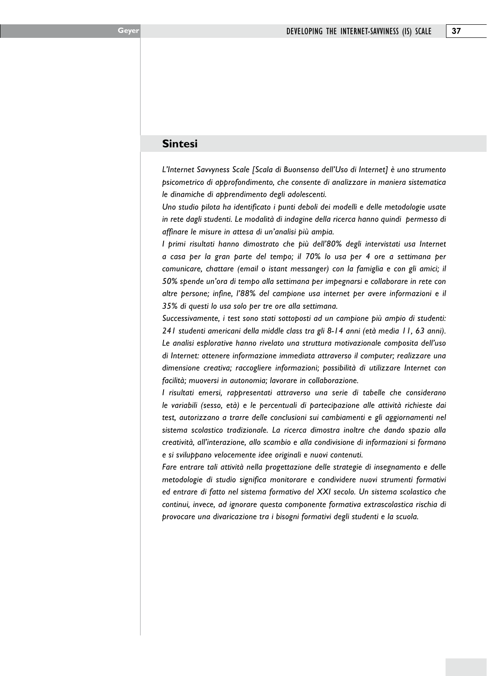#### **Sintesi**

*L'Internet Savvyness Scale [Scala di Buonsenso dell'Uso di Internet] è uno strumento psicometrico di approfondimento, che consente di analizzare in maniera sistematica le dinamiche di apprendimento degli adolescenti.*

*Uno studio pilota ha identificato i punti deboli dei modelli e delle metodologie usate in rete dagli studenti. Le modalità di indagine della ricerca hanno quindi permesso di affinare le misure in attesa di un'analisi più ampia.* 

*I primi risultati hanno dimostrato che più dell'80% degli intervistati usa Internet a casa per la gran parte del tempo; il 70% lo usa per 4 ore a settimana per comunicare, chattare (email o istant messanger) con la famiglia e con gli amici; il 50% spende un'ora di tempo alla settimana per impegnarsi e collaborare in rete con altre persone; infine, l'88% del campione usa internet per avere informazioni e il 35% di questi lo usa solo per tre ore alla settimana.*

*Successivamente, i test sono stati sottoposti ad un campione più ampio di studenti: 241 studenti americani della middle class tra gli 8-14 anni (età media 11, 63 anni). Le analisi esplorative hanno rivelato una struttura motivazionale composita dell'uso di Internet: ottenere informazione immediata attraverso il computer; realizzare una dimensione creativa; raccogliere informazioni; possibilità di utilizzare Internet con facilità; muoversi in autonomia; lavorare in collaborazione.* 

*I risultati emersi, rappresentati attraverso una serie di tabelle che considerano le variabili (sesso, età) e le percentuali di partecipazione alle attività richieste dai test, autorizzano a trarre delle conclusioni sui cambiamenti e gli aggiornamenti nel sistema scolastico tradizionale. La ricerca dimostra inoltre che dando spazio alla creatività, all'interazione, allo scambio e alla condivisione di informazioni si formano e si sviluppano velocemente idee originali e nuovi contenuti.*

*Fare entrare tali attività nella progettazione delle strategie di insegnamento e delle metodologie di studio significa monitorare e condividere nuovi strumenti formativi ed entrare di fatto nel sistema formativo del XXI secolo. Un sistema scolastico che continui, invece, ad ignorare questa componente formativa extrascolastica rischia di provocare una divaricazione tra i bisogni formativi degli studenti e la scuola.*